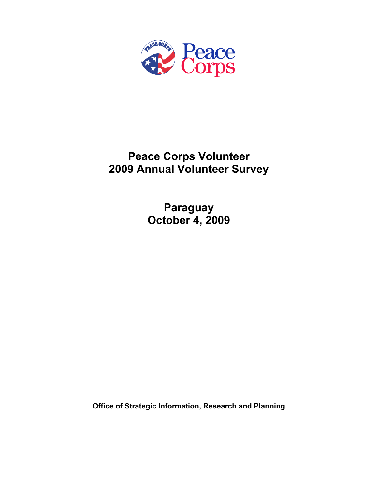

# **Peace Corps Volunteer 2009 Annual Volunteer Survey**

**Paraguay October 4, 2009** 

**Office of Strategic Information, Research and Planning**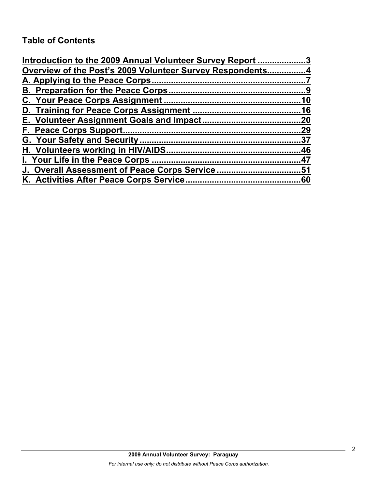# **Table of Contents**

| Introduction to the 2009 Annual Volunteer Survey Report 3 |     |
|-----------------------------------------------------------|-----|
| Overview of the Post's 2009 Volunteer Survey Respondents4 |     |
|                                                           |     |
|                                                           |     |
|                                                           |     |
|                                                           |     |
|                                                           |     |
|                                                           | .29 |
|                                                           |     |
|                                                           |     |
|                                                           |     |
| J. Overall Assessment of Peace Corps Service51            |     |
|                                                           |     |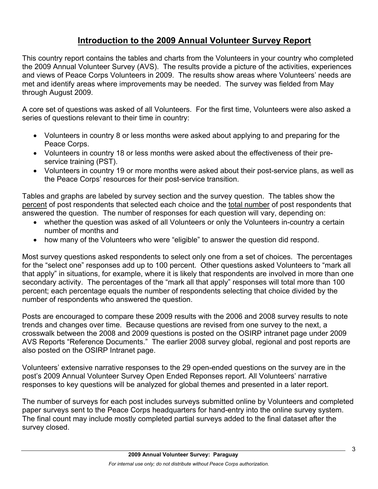# **Introduction to the 2009 Annual Volunteer Survey Report**

This country report contains the tables and charts from the Volunteers in your country who completed the 2009 Annual Volunteer Survey (AVS). The results provide a picture of the activities, experiences and views of Peace Corps Volunteers in 2009. The results show areas where Volunteers' needs are met and identify areas where improvements may be needed. The survey was fielded from May through August 2009.

A core set of questions was asked of all Volunteers. For the first time, Volunteers were also asked a series of questions relevant to their time in country:

- Volunteers in country 8 or less months were asked about applying to and preparing for the Peace Corps.
- Volunteers in country 18 or less months were asked about the effectiveness of their preservice training (PST).
- Volunteers in country 19 or more months were asked about their post-service plans, as well as the Peace Corps' resources for their post-service transition.

Tables and graphs are labeled by survey section and the survey question. The tables show the percent of post respondents that selected each choice and the total number of post respondents that answered the question. The number of responses for each question will vary, depending on:

- whether the question was asked of all Volunteers or only the Volunteers in-country a certain number of months and
- how many of the Volunteers who were "eligible" to answer the question did respond.

Most survey questions asked respondents to select only one from a set of choices. The percentages for the "select one" responses add up to 100 percent. Other questions asked Volunteers to "mark all that apply" in situations, for example, where it is likely that respondents are involved in more than one secondary activity. The percentages of the "mark all that apply" responses will total more than 100 percent; each percentage equals the number of respondents selecting that choice divided by the number of respondents who answered the question.

Posts are encouraged to compare these 2009 results with the 2006 and 2008 survey results to note trends and changes over time. Because questions are revised from one survey to the next, a crosswalk between the 2008 and 2009 questions is posted on the OSIRP intranet page under 2009 AVS Reports "Reference Documents." The earlier 2008 survey global, regional and post reports are also posted on the OSIRP Intranet page.

Volunteers' extensive narrative responses to the 29 open-ended questions on the survey are in the post's 2009 Annual Volunteer Survey Open Ended Reponses report. All Volunteers' narrative responses to key questions will be analyzed for global themes and presented in a later report.

The number of surveys for each post includes surveys submitted online by Volunteers and completed paper surveys sent to the Peace Corps headquarters for hand-entry into the online survey system. The final count may include mostly completed partial surveys added to the final dataset after the survey closed.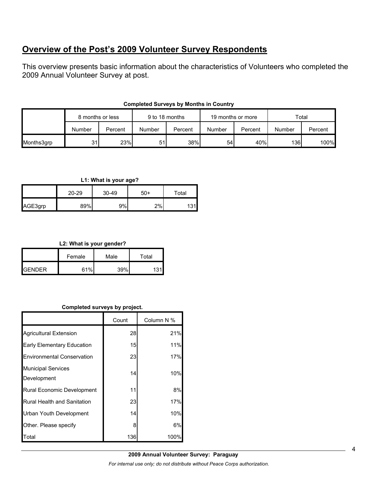# **Overview of the Post's 2009 Volunteer Survey Respondents**

This overview presents basic information about the characteristics of Volunteers who completed the 2009 Annual Volunteer Survey at post.

|            | 8 months or less |         | 9 to 18 months |         | 19 months or more |         | Total        |         |
|------------|------------------|---------|----------------|---------|-------------------|---------|--------------|---------|
|            | Number           | Percent | Number         | Percent | Number            | Percent | Number       | Percent |
| Months3grp | 31               | 23%     | 51             | 38%     | 54                | 40%     | 136 <b>I</b> | 100%    |

#### **Completed Surveys by Months in Country**

#### **L1: What is your age?**

|         | $20 - 29$ | $30 - 49$ | $50+$ | Total |
|---------|-----------|-----------|-------|-------|
| AGE3grp | 89%       | 9%l       | 2%    | 31    |

#### **L2: What is your gender?**

|                | Female | Male | $\tau$ otal |
|----------------|--------|------|-------------|
| <b>IGENDER</b> | 61%    | 39%  | 121         |

#### **Completed surveys by project.**

|                                          | Count | Column N % |
|------------------------------------------|-------|------------|
| <b>Agricultural Extension</b>            | 28    | 21%        |
| Early Elementary Education               | 15    | 11%        |
| <b>Environmental Conservation</b>        | 23    | 17%        |
| <b>Municipal Services</b><br>Development | 14    | 10%        |
| Rural Economic Development               | 11    | 8%         |
| <b>Rural Health and Sanitation</b>       | 23    | 17%        |
| Urban Youth Development                  | 14    | 10%        |
| Other. Please specify                    | 8     | 6%         |
| Total                                    | 136   | 100%       |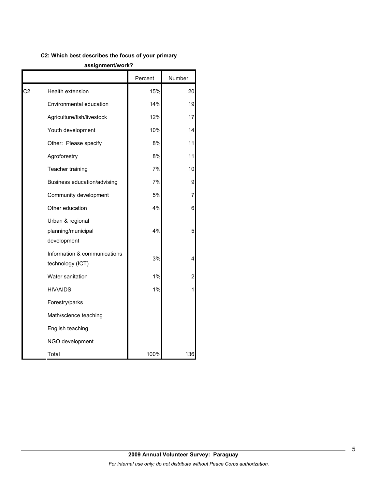#### **C2: Which best describes the focus of your primary**

#### **assignment/work?**

|    |                                                       | Percent | Number |
|----|-------------------------------------------------------|---------|--------|
| C2 | Health extension                                      | 15%     | 20     |
|    | Environmental education                               | 14%     | 19     |
|    | Agriculture/fish/livestock                            | 12%     | 17     |
|    | Youth development                                     | 10%     | 14     |
|    | Other: Please specify                                 | 8%      | 11     |
|    | Agroforestry                                          | 8%      | 11     |
|    | Teacher training                                      | 7%      | 10     |
|    | Business education/advising                           | 7%      | 9      |
|    | Community development                                 | 5%      | 7      |
|    | Other education                                       | 4%      | 6      |
|    | Urban & regional<br>planning/municipal<br>development | 4%      | 5      |
|    | Information & communications<br>technology (ICT)      | 3%      | 4      |
|    | Water sanitation                                      | 1%      | 2      |
|    | <b>HIV/AIDS</b>                                       | 1%      |        |
|    | Forestry/parks                                        |         |        |
|    | Math/science teaching                                 |         |        |
|    | English teaching                                      |         |        |
|    | NGO development                                       |         |        |
|    | Total                                                 | 100%    | 136    |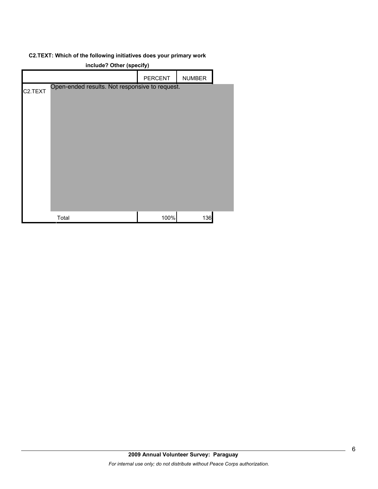#### **C2.TEXT: Which of the following initiatives does your primary work**

| include? Other (specify) |                                                |         |               |  |
|--------------------------|------------------------------------------------|---------|---------------|--|
|                          |                                                | PERCENT | <b>NUMBER</b> |  |
| C <sub>2</sub> .TEXT     | Open-ended results. Not responsive to request. |         |               |  |
|                          |                                                |         |               |  |
|                          | Total                                          | 100%    | 136           |  |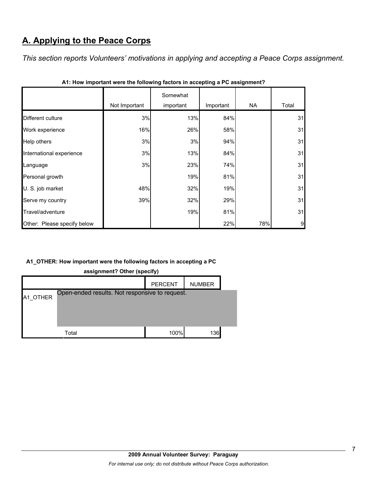# **A. Applying to the Peace Corps**

*This section reports Volunteers' motivations in applying and accepting a Peace Corps assignment.* 

|                             | Not Important | Somewhat<br>important | Important | <b>NA</b> | Total |
|-----------------------------|---------------|-----------------------|-----------|-----------|-------|
| Different culture           | 3%            | 13%                   | 84%       |           | 31    |
| Work experience             | 16%           | 26%                   | 58%       |           | 31    |
| Help others                 | 3%            | 3%                    | 94%       |           | 31    |
| International experience    | 3%            | 13%                   | 84%       |           | 31    |
| Language                    | 3%            | 23%                   | 74%       |           | 31    |
| Personal growth             |               | 19%                   | 81%       |           | 31    |
| U. S. job market            | 48%           | 32%                   | 19%       |           | 31    |
| Serve my country            | 39%           | 32%                   | 29%       |           | 31    |
| Travel/adventure            |               | 19%                   | 81%       |           | 31    |
| Other: Please specify below |               |                       | 22%       | 78%       | 9     |

| A1: How important were the following factors in accepting a PC assignment? |  |  |
|----------------------------------------------------------------------------|--|--|
|                                                                            |  |  |

### **A1\_OTHER: How important were the following factors in accepting a PC**

|       | <b>PERCENT</b> | <b>NUMBER</b>              |                                                |
|-------|----------------|----------------------------|------------------------------------------------|
|       |                |                            |                                                |
|       |                |                            |                                                |
|       |                |                            |                                                |
| Total | 100%           | 136                        |                                                |
|       |                | assignment comer (specify) | Open-ended results. Not responsive to request. |

**assignment? Other (specify)**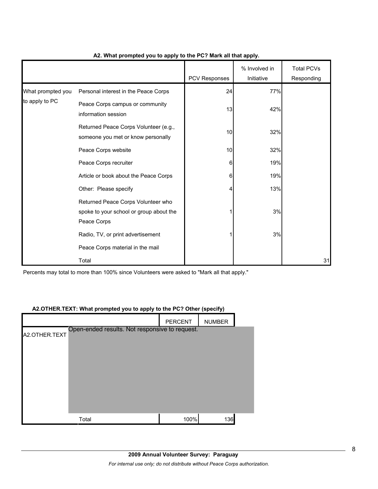|                   |                                                                                              | PCV Responses | % Involved in<br>Initiative | <b>Total PCVs</b> |
|-------------------|----------------------------------------------------------------------------------------------|---------------|-----------------------------|-------------------|
|                   |                                                                                              |               |                             | Responding        |
| What prompted you | Personal interest in the Peace Corps                                                         | 24            | 77%                         |                   |
| to apply to PC    | Peace Corps campus or community<br>information session                                       | 13            | 42%                         |                   |
|                   | Returned Peace Corps Volunteer (e.g.,<br>someone you met or know personally                  | 10            | 32%                         |                   |
|                   | Peace Corps website                                                                          | 10            | 32%                         |                   |
|                   | Peace Corps recruiter                                                                        | 6             | 19%                         |                   |
|                   | Article or book about the Peace Corps                                                        | 6             | 19%                         |                   |
|                   | Other: Please specify                                                                        | 4             | 13%                         |                   |
|                   | Returned Peace Corps Volunteer who<br>spoke to your school or group about the<br>Peace Corps |               | 3%                          |                   |
|                   | Radio, TV, or print advertisement                                                            |               | 3%                          |                   |
|                   | Peace Corps material in the mail                                                             |               |                             |                   |
|                   | Total                                                                                        |               |                             | 31                |

#### **A2. What prompted you to apply to the PC? Mark all that apply.**

Percents may total to more than 100% since Volunteers were asked to "Mark all that apply."

#### **A2.OTHER.TEXT: What prompted you to apply to the PC? Other (specify)**

|                                                                 | <b>PERCENT</b> | <b>NUMBER</b> |  |
|-----------------------------------------------------------------|----------------|---------------|--|
| Open-ended results. Not responsive to request.<br>A2.OTHER.TEXT |                |               |  |
|                                                                 |                |               |  |
|                                                                 |                |               |  |
|                                                                 |                |               |  |
|                                                                 |                |               |  |
|                                                                 |                |               |  |
|                                                                 |                |               |  |
| Total                                                           | 100%           | 136           |  |
|                                                                 |                |               |  |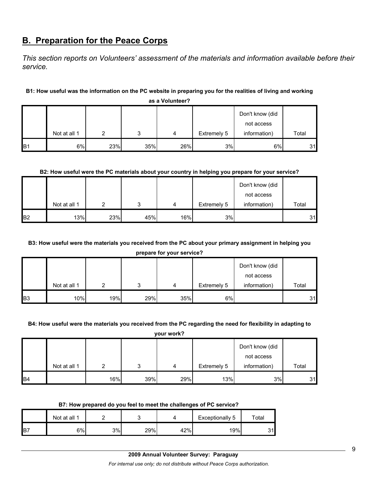# **B. Preparation for the Peace Corps**

*This section reports on Volunteers' assessment of the materials and information available before their service.* 

#### **B1: How useful was the information on the PC website in preparing you for the realities of living and working**

|                |              |     |        |     |             | Don't know (did |       |
|----------------|--------------|-----|--------|-----|-------------|-----------------|-------|
|                |              |     |        |     |             | not access      |       |
|                | Not at all 1 | ◠   | າ<br>w | 4   | Extremely 5 | information)    | Total |
| B <sub>1</sub> | 6%           | 23% | 35%    | 26% | 3%          | 6%              | 31    |

**as a Volunteer?**

#### **B2: How useful were the PC materials about your country in helping you prepare for your service?**

|                |              |     |     |     |             | Don't know (did |       |
|----------------|--------------|-----|-----|-----|-------------|-----------------|-------|
|                |              |     |     |     |             | not access      |       |
|                | Not at all 1 |     | ົ   | 4   | Extremely 5 | information)    | Total |
| B <sub>2</sub> | 13%          | 23% | 45% | 16% | 3%          |                 | 31    |

### **B3: How useful were the materials you received from the PC about your primary assignment in helping you**

**prepare for your service?**

|            |              |     |     |     |             | Don't know (did |       |
|------------|--------------|-----|-----|-----|-------------|-----------------|-------|
|            |              |     |     |     |             | not access      |       |
|            | Not at all 1 |     | ິ   | 4   | Extremely 5 | information)    | Total |
| <b>B</b> 3 | 10%          | 19% | 29% | 35% | 6%          |                 | 31    |

#### **B4: How useful were the materials you received from the PC regarding the need for flexibility in adapting to**

**your work?**

|                 |              |     |     |     |             | Don't know (did |       |
|-----------------|--------------|-----|-----|-----|-------------|-----------------|-------|
|                 |              |     |     |     |             | not access      |       |
|                 | Not at all 1 |     |     | 4   | Extremely 5 | information)    | Total |
| IB <sub>4</sub> |              | 16% | 39% | 29% | 13%         | 3%              | 31    |

#### **B7: How prepared do you feel to meet the challenges of PC service?**

|     | Not at all 1 |    | -<br>۰. |     | Exceptionally 5 | $\tau$ otal |
|-----|--------------|----|---------|-----|-----------------|-------------|
| lB7 | 6%           | 3% | 29%     | 42% | 19%             | っィ۱<br>ان   |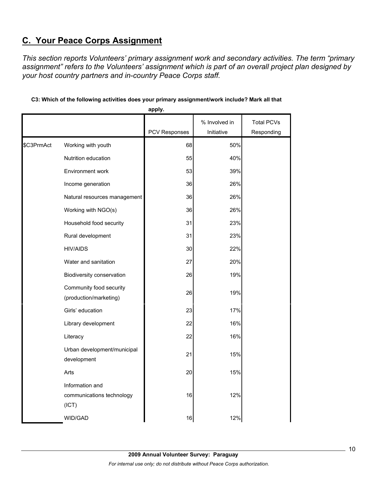# **C. Your Peace Corps Assignment**

*This section reports Volunteers' primary assignment work and secondary activities. The term "primary assignment" refers to the Volunteers' assignment which is part of an overall project plan designed by your host country partners and in-country Peace Corps staff.* 

|            |                                                       | apply.        |               |                   |
|------------|-------------------------------------------------------|---------------|---------------|-------------------|
|            |                                                       |               | % Involved in | <b>Total PCVs</b> |
|            |                                                       | PCV Responses | Initiative    | Responding        |
| \$C3PrmAct | Working with youth                                    | 68            | 50%           |                   |
|            | Nutrition education                                   | 55            | 40%           |                   |
|            | Environment work                                      | 53            | 39%           |                   |
|            | Income generation                                     | 36            | 26%           |                   |
|            | Natural resources management                          | 36            | 26%           |                   |
|            | Working with NGO(s)                                   | 36            | 26%           |                   |
|            | Household food security                               | 31            | 23%           |                   |
|            | Rural development                                     | 31            | 23%           |                   |
|            | <b>HIV/AIDS</b>                                       | 30            | 22%           |                   |
|            | Water and sanitation                                  | 27            | 20%           |                   |
|            | Biodiversity conservation                             | 26            | 19%           |                   |
|            | Community food security<br>(production/marketing)     | 26            | 19%           |                   |
|            | Girls' education                                      | 23            | 17%           |                   |
|            | Library development                                   | 22            | 16%           |                   |
|            | Literacy                                              | 22            | 16%           |                   |
|            | Urban development/municipal<br>development            | 21            | 15%           |                   |
|            | Arts                                                  | 20            | 15%           |                   |
|            | Information and<br>communications technology<br>(ICT) | 16            | 12%           |                   |
|            | <b>WID/GAD</b>                                        | 16            | 12%           |                   |

### **C3: Which of the following activities does your primary assignment/work include? Mark all that**

**2009 Annual Volunteer Survey: Paraguay**  *For internal use only; do not distribute without Peace Corps authorization.*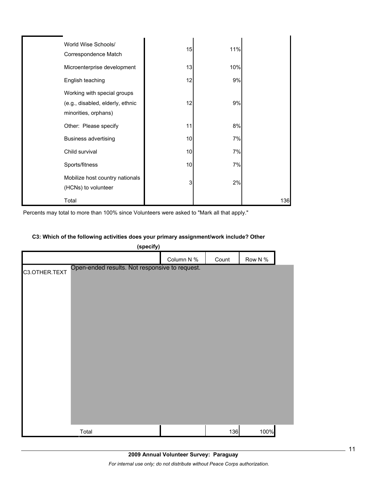| World Wise Schools/<br>Correspondence Match                                             | 15 | 11% |     |
|-----------------------------------------------------------------------------------------|----|-----|-----|
| Microenterprise development                                                             | 13 | 10% |     |
| English teaching                                                                        | 12 | 9%  |     |
| Working with special groups<br>(e.g., disabled, elderly, ethnic<br>minorities, orphans) | 12 | 9%  |     |
| Other: Please specify                                                                   | 11 | 8%  |     |
| <b>Business advertising</b>                                                             | 10 | 7%  |     |
| Child survival                                                                          | 10 | 7%  |     |
| Sports/fitness                                                                          | 10 | 7%  |     |
| Mobilize host country nationals<br>(HCNs) to volunteer                                  | 3  | 2%  |     |
| Total                                                                                   |    |     | 136 |

Percents may total to more than 100% since Volunteers were asked to "Mark all that apply."

#### **C3: Which of the following activities does your primary assignment/work include? Other**

| (specify)                                                       |            |       |         |  |
|-----------------------------------------------------------------|------------|-------|---------|--|
|                                                                 | Column N % | Count | Row N % |  |
| Open-ended results. Not responsive to request.<br>C3.OTHER.TEXT |            |       |         |  |
|                                                                 |            |       |         |  |
|                                                                 |            |       |         |  |
|                                                                 |            |       |         |  |
|                                                                 |            |       |         |  |
|                                                                 |            |       |         |  |
|                                                                 |            |       |         |  |
|                                                                 |            |       |         |  |
|                                                                 |            |       |         |  |
|                                                                 |            |       |         |  |
|                                                                 |            |       |         |  |
|                                                                 |            |       |         |  |
|                                                                 |            |       |         |  |
|                                                                 |            |       |         |  |
| Total                                                           |            | 136   | 100%    |  |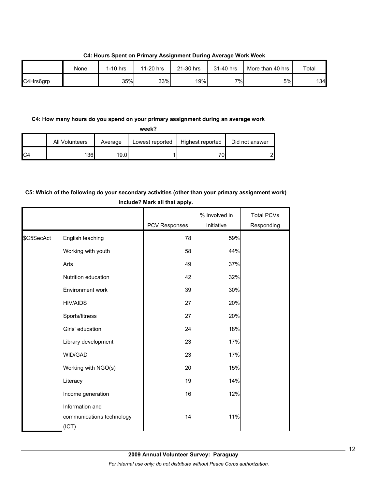|           | None | $1-10$ hrs | 11-20 hrs | 21-30 hrs | 31-40 hrs | More than 40 hrs | Total |
|-----------|------|------------|-----------|-----------|-----------|------------------|-------|
| C4Hrs6grp |      | 35%        | 33%       | 19%       | 7%        | 5%               | 134   |

**C4: Hours Spent on Primary Assignment During Average Work Week**

#### **C4: How many hours do you spend on your primary assignment during an average work**

|                | All Volunteers | Average | Lowest reported | Highest reported | Did not answer |
|----------------|----------------|---------|-----------------|------------------|----------------|
| C <sub>4</sub> | 1361           | 19.0I   |                 | 70               | റ              |

### **C5: Which of the following do your secondary activities (other than your primary assignment work) include? Mark all that apply.**

|            |                                                       | <b>PCV Responses</b> | % Involved in<br>Initiative | <b>Total PCVs</b><br>Responding |
|------------|-------------------------------------------------------|----------------------|-----------------------------|---------------------------------|
| \$C5SecAct | English teaching                                      | 78                   | 59%                         |                                 |
|            | Working with youth                                    | 58                   | 44%                         |                                 |
|            | Arts                                                  | 49                   | 37%                         |                                 |
|            | Nutrition education                                   | 42                   | 32%                         |                                 |
|            | Environment work                                      | 39                   | 30%                         |                                 |
|            | <b>HIV/AIDS</b>                                       | 27                   | 20%                         |                                 |
|            | Sports/fitness                                        | 27                   | 20%                         |                                 |
|            | Girls' education                                      | 24                   | 18%                         |                                 |
|            | Library development                                   | 23                   | 17%                         |                                 |
|            | WID/GAD                                               | 23                   | 17%                         |                                 |
|            | Working with NGO(s)                                   | 20                   | 15%                         |                                 |
|            | Literacy                                              | 19                   | 14%                         |                                 |
|            | Income generation                                     | 16                   | 12%                         |                                 |
|            | Information and<br>communications technology<br>(ICT) | 14                   | 11%                         |                                 |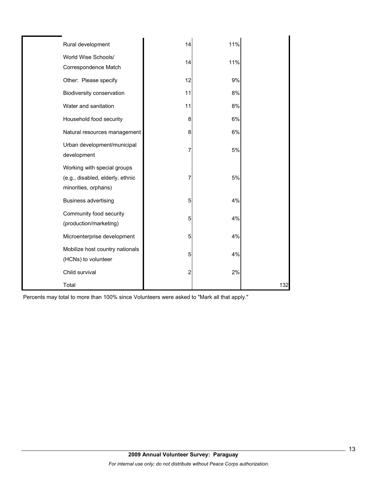| Rural development                                                                       | 14                      | 11% |     |
|-----------------------------------------------------------------------------------------|-------------------------|-----|-----|
| World Wise Schools/<br>Correspondence Match                                             | 14                      | 11% |     |
| Other: Please specify                                                                   | 12                      | 9%  |     |
| Biodiversity conservation                                                               | 11                      | 8%  |     |
| Water and sanitation                                                                    | 11                      | 8%  |     |
| Household food security                                                                 | 8                       | 6%  |     |
| Natural resources management                                                            | 8                       | 6%  |     |
| Urban development/municipal<br>development                                              | 7                       | 5%  |     |
| Working with special groups<br>(e.g., disabled, elderly, ethnic<br>minorities, orphans) | 7                       | 5%  |     |
| <b>Business advertising</b>                                                             | 5                       | 4%  |     |
| Community food security<br>(production/marketing)                                       | 5                       | 4%  |     |
| Microenterprise development                                                             | 5                       | 4%  |     |
| Mobilize host country nationals<br>(HCNs) to volunteer                                  | 5                       | 4%  |     |
| Child survival                                                                          | $\overline{\mathbf{c}}$ | 2%  |     |
| Total                                                                                   |                         |     | 132 |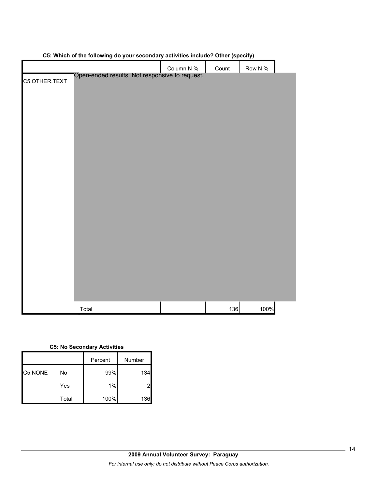|               | ີ່ວ<br>-- ,                                    |            | $1 - 1 - 1$ |            |  |
|---------------|------------------------------------------------|------------|-------------|------------|--|
|               |                                                | Column N % | Count       | Row N $\%$ |  |
|               | Open-ended results. Not responsive to request. |            |             |            |  |
| C5.OTHER.TEXT |                                                |            |             |            |  |
|               |                                                |            |             |            |  |
|               |                                                |            |             |            |  |
|               |                                                |            |             |            |  |
|               |                                                |            |             |            |  |
|               |                                                |            |             |            |  |
|               |                                                |            |             |            |  |
|               |                                                |            |             |            |  |
|               |                                                |            |             |            |  |
|               |                                                |            |             |            |  |
|               |                                                |            |             |            |  |
|               |                                                |            |             |            |  |
|               |                                                |            |             |            |  |
|               |                                                |            |             |            |  |
|               |                                                |            |             |            |  |
|               |                                                |            |             |            |  |
|               |                                                |            |             |            |  |
|               |                                                |            |             |            |  |
|               |                                                |            |             |            |  |
|               |                                                |            |             |            |  |
|               |                                                |            |             |            |  |
|               |                                                |            |             |            |  |
|               |                                                |            |             |            |  |
|               |                                                |            |             |            |  |
|               |                                                |            |             |            |  |
|               |                                                |            |             |            |  |
|               |                                                |            |             |            |  |
|               |                                                |            |             |            |  |
|               |                                                |            |             |            |  |
|               |                                                |            |             |            |  |
|               |                                                |            |             |            |  |
|               |                                                |            |             |            |  |
|               |                                                |            |             |            |  |
|               |                                                |            |             |            |  |
|               |                                                |            |             |            |  |
|               |                                                |            |             |            |  |
|               | Total                                          |            | 136         | 100%       |  |
|               |                                                |            |             |            |  |

#### **C5: Which of the following do your secondary activities include? Other (specify)**

#### **C5: No Secondary Activities**

|         |       | Percent | Number |
|---------|-------|---------|--------|
| C5.NONE | No    | 99%     | 134    |
|         | Yes   | 1%      | 2      |
|         | Total | 100%    | 136    |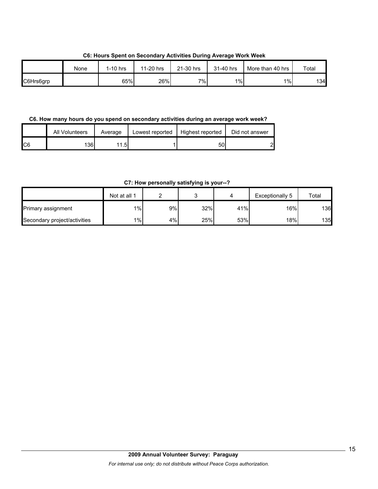**C6: Hours Spent on Secondary Activities During Average Work Week**

|           | None | $1-10$ hrs | 11-20 hrs | 21-30 hrs | 31-40 hrs | More than 40 hrs | Total |
|-----------|------|------------|-----------|-----------|-----------|------------------|-------|
| C6Hrs6grp |      | 65%        | 26%       | $7\%$ .   | $1\%$     | $1\%$            | 134l  |

**C6. How many hours do you spend on secondary activities during an average work week?**

|     | All Volunteers | Average | Lowest reported | Highest reported | Did not answer |
|-----|----------------|---------|-----------------|------------------|----------------|
| IC6 | 136l           | 1.5     |                 | 50               | പ              |

**C7: How personally satisfying is your--?**

|                              | Not at all 1 |    |     |     | Exceptionally 5 | Total |
|------------------------------|--------------|----|-----|-----|-----------------|-------|
| Primary assignment           | $1\%$        | 9% | 32% | 41% | 16%             | 136   |
| Secondary project/activities | $1\%$        | 4% | 25% | 53% | 18%             | 135   |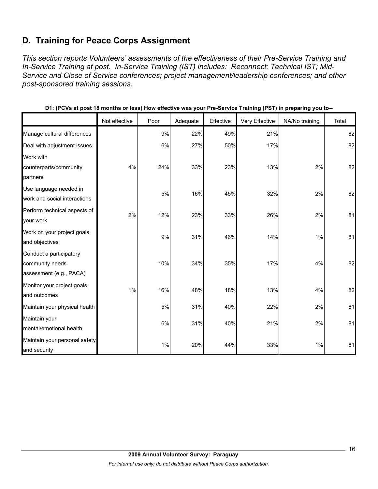# **D. Training for Peace Corps Assignment**

*This section reports Volunteers' assessments of the effectiveness of their Pre-Service Training and In-Service Training at post. In-Service Training (IST) includes: Reconnect; Technical IST; Mid-Service and Close of Service conferences; project management/leadership conferences; and other post-sponsored training sessions.* 

|                               | Not effective | Poor | Adequate | Effective | Very Effective | NA/No training | Total |
|-------------------------------|---------------|------|----------|-----------|----------------|----------------|-------|
| Manage cultural differences   |               | 9%   | 22%      | 49%       | 21%            |                | 82    |
| Deal with adjustment issues   |               | 6%   | 27%      | 50%       | 17%            |                | 82    |
| Work with                     |               |      |          |           |                |                |       |
| counterparts/community        | 4%            | 24%  | 33%      | 23%       | 13%            | 2%             | 82    |
| partners                      |               |      |          |           |                |                |       |
| Use language needed in        |               | 5%   | 16%      | 45%       | 32%            | 2%             | 82    |
| work and social interactions  |               |      |          |           |                |                |       |
| Perform technical aspects of  | 2%            | 12%  | 23%      | 33%       | 26%            | 2%             | 81    |
| your work                     |               |      |          |           |                |                |       |
| Work on your project goals    |               | 9%   | 31%      | 46%       | 14%            | 1%             | 81    |
| and objectives                |               |      |          |           |                |                |       |
| Conduct a participatory       |               |      |          |           |                |                |       |
| community needs               |               | 10%  | 34%      | 35%       | 17%            | 4%             | 82    |
| assessment (e.g., PACA)       |               |      |          |           |                |                |       |
| Monitor your project goals    | 1%            | 16%  | 48%      | 18%       | 13%            | 4%             | 82    |
| and outcomes                  |               |      |          |           |                |                |       |
| Maintain your physical health |               | 5%   | 31%      | 40%       | 22%            | 2%             | 81    |
| Maintain your                 |               | 6%   | 31%      | 40%       | 21%            | 2%             | 81    |
| mental/emotional health       |               |      |          |           |                |                |       |
| Maintain your personal safety |               | 1%   | 20%      | 44%       | 33%            | 1%             | 81    |
| and security                  |               |      |          |           |                |                |       |

**D1: (PCVs at post 18 months or less) How effective was your Pre-Service Training (PST) in preparing you to--**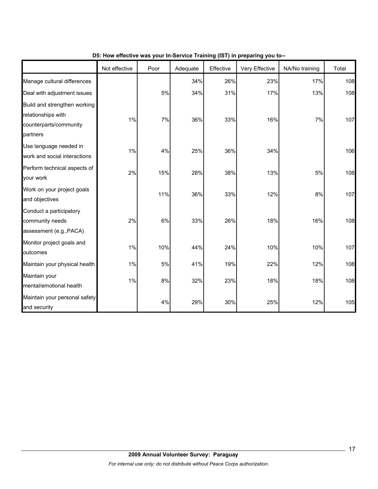|                                                                                          | Not effective | Poor | Adequate | Effective | $\frac{1}{2}$ is the mass from the control training (i.e. i) in properting from the<br>Very Effective | NA/No training | Total |
|------------------------------------------------------------------------------------------|---------------|------|----------|-----------|-------------------------------------------------------------------------------------------------------|----------------|-------|
| Manage cultural differences                                                              |               |      | 34%      | 26%       | 23%                                                                                                   | 17%            | 108   |
| Deal with adjustment issues                                                              |               | 5%   | 34%      | 31%       | 17%                                                                                                   | 13%            | 108   |
| Build and strengthen working<br>relationships with<br>counterparts/community<br>partners | 1%            | 7%   | 36%      | 33%       | 16%                                                                                                   | 7%             | 107   |
| Use language needed in<br>work and social interactions                                   | 1%            | 4%   | 25%      | 36%       | 34%                                                                                                   |                | 106   |
| Perform technical aspects of<br>your work                                                | 2%            | 15%  | 28%      | 38%       | 13%                                                                                                   | 5%             | 108   |
| Work on your project goals<br>and objectives                                             |               | 11%  | 36%      | 33%       | 12%                                                                                                   | 8%             | 107   |
| Conduct a participatory<br>community needs<br>assessment (e.g., PACA)                    | 2%            | 6%   | 33%      | 26%       | 18%                                                                                                   | 16%            | 108   |
| Monitor project goals and<br>outcomes                                                    | 1%            | 10%  | 44%      | 24%       | 10%                                                                                                   | 10%            | 107   |
| Maintain your physical health                                                            | 1%            | 5%   | 41%      | 19%       | 22%                                                                                                   | 12%            | 108   |
| Maintain your<br>mental/emotional health                                                 | 1%            | 8%   | 32%      | 23%       | 18%                                                                                                   | 18%            | 108   |
| Maintain your personal safety<br>and security                                            |               | 4%   | 29%      | 30%       | 25%                                                                                                   | 12%            | 105   |

### **D5: How effective was your In-Service Training (IST) in preparing you to--**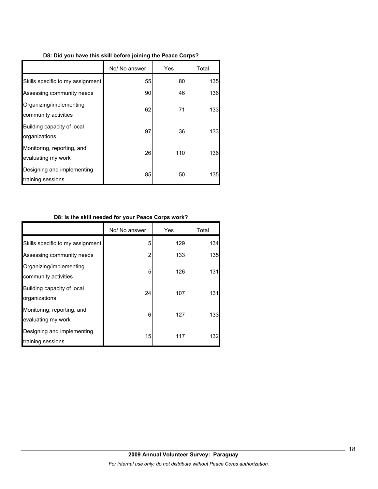|  |  | D8: Did you have this skill before joining the Peace Corps? |
|--|--|-------------------------------------------------------------|
|  |  |                                                             |

|                                                  | No/ No answer | Yes | Total |
|--------------------------------------------------|---------------|-----|-------|
| Skills specific to my assignment                 | 55            | 80  | 135   |
| Assessing community needs                        | 90            | 46  | 136   |
| Organizing/implementing<br>community activities  | 62            | 71  | 133   |
| Building capacity of local<br>organizations      | 97            | 36  | 133   |
| Monitoring, reporting, and<br>evaluating my work | 26            | 110 | 136   |
| Designing and implementing<br>training sessions  | 85            | 50  | 135   |

### **D8: Is the skill needed for your Peace Corps work?**

|                                                  | No/ No answer | Yes | Total |
|--------------------------------------------------|---------------|-----|-------|
| Skills specific to my assignment                 | 5             | 129 | 134   |
| Assessing community needs                        | 2             | 133 | 135   |
| Organizing/implementing<br>community activities  | 5             | 126 | 131   |
| Building capacity of local<br>organizations      | 24            | 107 | 131   |
| Monitoring, reporting, and<br>evaluating my work | 6             | 127 | 133   |
| Designing and implementing<br>training sessions  | 15            | 117 | 132   |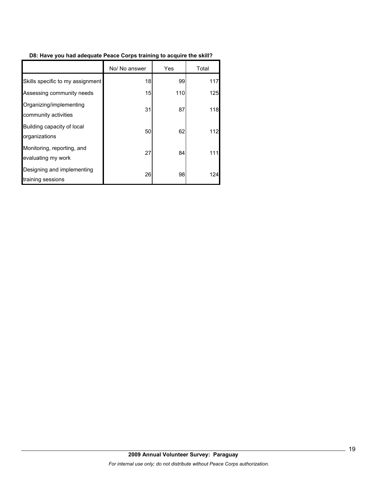### **D8: Have you had adequate Peace Corps training to acquire the skill?**

|                                                  | No/ No answer | Yes | Total |
|--------------------------------------------------|---------------|-----|-------|
| Skills specific to my assignment                 | 18            | 99  | 117   |
| Assessing community needs                        | 15            | 110 | 125   |
| Organizing/implementing<br>community activities  | 31            | 87  | 118   |
| Building capacity of local<br>organizations      | 50            | 62  | 112   |
| Monitoring, reporting, and<br>evaluating my work | 27            | 84  | 111   |
| Designing and implementing<br>training sessions  | 26            | 98  | 124   |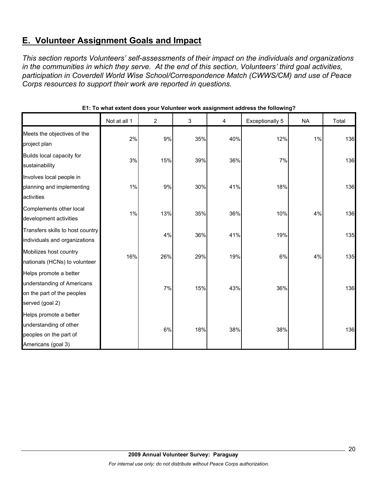# **E. Volunteer Assignment Goals and Impact**

*This section reports Volunteers' self-assessments of their impact on the individuals and organizations in the communities in which they serve. At the end of this section, Volunteers' third goal activities, participation in Coverdell World Wise School/Correspondence Match (CWWS/CM) and use of Peace Corps resources to support their work are reported in questions.* 

|                                                                                                       | Not at all 1 | $\overline{c}$ | 3   | 4   | Exceptionally 5 | <b>NA</b> | Total |
|-------------------------------------------------------------------------------------------------------|--------------|----------------|-----|-----|-----------------|-----------|-------|
| Meets the objectives of the<br>project plan                                                           | 2%           | 9%             | 35% | 40% | 12%             | 1%        | 136   |
| Builds local capacity for<br>sustainability                                                           | 3%           | 15%            | 39% | 36% | 7%              |           | 136   |
| Involves local people in<br>planning and implementing<br>activities                                   | 1%           | 9%             | 30% | 41% | 18%             |           | 136   |
| Complements other local<br>development activities                                                     | 1%           | 13%            | 35% | 36% | 10%             | 4%        | 136   |
| Transfers skills to host country<br>individuals and organizations                                     |              | 4%             | 36% | 41% | 19%             |           | 135   |
| Mobilizes host country<br>nationals (HCNs) to volunteer                                               | 16%          | 26%            | 29% | 19% | 6%              | 4%        | 135   |
| Helps promote a better<br>understanding of Americans<br>on the part of the peoples<br>served (goal 2) |              | 7%             | 15% | 43% | 36%             |           | 136   |
| Helps promote a better<br>understanding of other<br>peoples on the part of<br>Americans (goal 3)      |              | 6%             | 18% | 38% | 38%             |           | 136   |

**E1: To what extent does your Volunteer work assignment address the following?**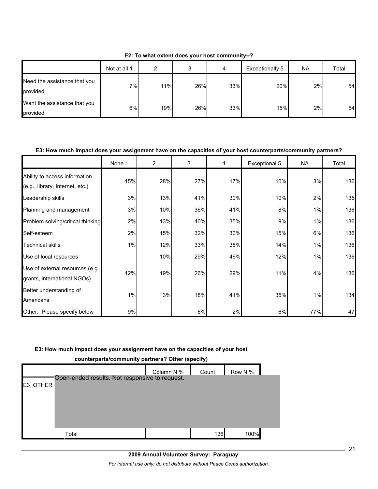|                                          | Not at all 1 | ົ   |     | 4   | Exceptionally 5 | <b>NA</b> | Total |
|------------------------------------------|--------------|-----|-----|-----|-----------------|-----------|-------|
| Need the assistance that you<br>provided | 7%           | 11% | 26% | 33% | 20%             | 2%        | 54    |
| Want the assistance that you<br>provided | 6%           | 19% | 26% | 33% | 15%             | 2%        | 54    |

**E2: To what extent does your host community--?**

#### **E3: How much impact does your assignment have on the capacities of your host counterparts/community partners?**

|                                                                  | None 1 | 2   | 3   | 4   | Exceptional 5 | NA  | Total |
|------------------------------------------------------------------|--------|-----|-----|-----|---------------|-----|-------|
| Ability to access information<br>(e.g., library, Internet, etc.) | 15%    | 28% | 27% | 17% | 10%           | 3%  | 136   |
| Leadership skills                                                | 3%     | 13% | 41% | 30% | 10%           | 2%  | 135   |
| Planning and management                                          | 3%     | 10% | 36% | 41% | 8%            | 1%  | 136   |
| Problem solving/critical thinking                                | 2%     | 13% | 40% | 35% | 9%            | 1%  | 136   |
| Self-esteem                                                      | 2%     | 15% | 32% | 30% | 15%           | 6%  | 136   |
| <b>Technical skills</b>                                          | 1%     | 12% | 33% | 38% | 14%           | 1%  | 136   |
| Use of local resources                                           |        | 10% | 29% | 46% | 12%           | 1%  | 136   |
| Use of external resources (e.g.,<br>grants, international NGOs)  | 12%    | 19% | 26% | 29% | 11%           | 4%  | 136   |
| Better understanding of<br>Americans                             | 1%     | 3%  | 18% | 41% | 35%           | 1%  | 134   |
| Other: Please specify below                                      | 9%     |     | 6%  | 2%  | 6%            | 77% | 47    |

#### **E3: How much impact does your assignment have on the capacities of your host**

| Counterparts/community partners: Other (specify) |                                                |            |       |         |  |  |  |  |
|--------------------------------------------------|------------------------------------------------|------------|-------|---------|--|--|--|--|
|                                                  |                                                | Column N % | Count | Row N % |  |  |  |  |
| E3 OTHER                                         | Open-ended results. Not responsive to request. |            |       |         |  |  |  |  |
|                                                  |                                                |            |       |         |  |  |  |  |
|                                                  |                                                |            |       |         |  |  |  |  |
|                                                  |                                                |            |       |         |  |  |  |  |
|                                                  | Total                                          |            | 136   | 100%    |  |  |  |  |

**counterparts/community partners? Other (specify)**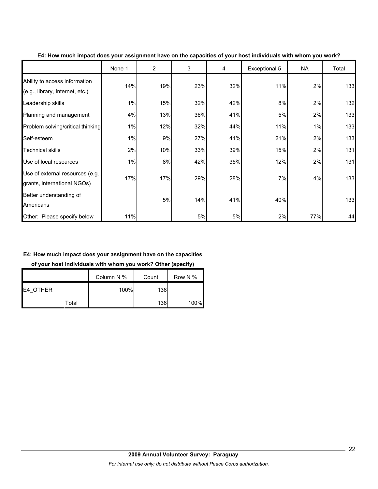|                                                                  | None 1 | $\overline{2}$ | 3   | 4   | Exceptional 5 | NA  | Total |
|------------------------------------------------------------------|--------|----------------|-----|-----|---------------|-----|-------|
| Ability to access information<br>(e.g., library, Internet, etc.) | 14%    | 19%            | 23% | 32% | 11%           | 2%  | 133   |
| Leadership skills                                                | 1%     | 15%            | 32% | 42% | 8%            | 2%  | 132   |
| Planning and management                                          | 4%     | 13%            | 36% | 41% | 5%            | 2%  | 133   |
| Problem solving/critical thinking                                | 1%     | 12%            | 32% | 44% | 11%           | 1%  | 133   |
| Self-esteem                                                      | 1%     | 9%             | 27% | 41% | 21%           | 2%  | 133   |
| <b>Technical skills</b>                                          | 2%     | 10%            | 33% | 39% | 15%           | 2%  | 131   |
| Use of local resources                                           | 1%     | 8%             | 42% | 35% | 12%           | 2%  | 131   |
| Use of external resources (e.g.,<br>grants, international NGOs)  | 17%    | 17%            | 29% | 28% | 7%            | 4%  | 133   |
| Better understanding of<br>Americans                             |        | 5%             | 14% | 41% | 40%           |     | 133   |
| Other: Please specify below                                      | 11%    |                | 5%  | 5%  | 2%            | 77% | 44    |

**E4: How much impact does your assignment have on the capacities of your host individuals with whom you work?**

#### **E4: How much impact does your assignment have on the capacities**

**of your host individuals with whom you work? Other (specify)**

|                  | Column N % | Count      | Row N % |
|------------------|------------|------------|---------|
| <b>IE4 OTHER</b> | 100%       | <b>136</b> |         |
| Total            |            | <b>136</b> | 100%    |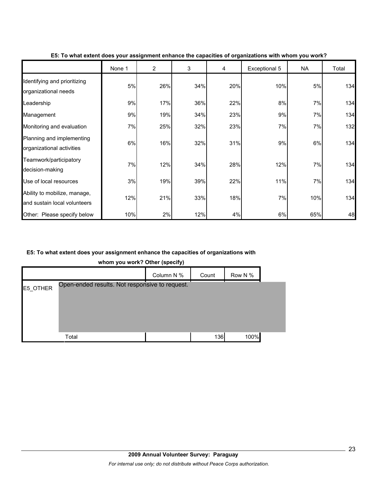|                                                              | None 1 | $\overline{2}$ | 3   | 4   | Exceptional 5 | <b>NA</b> | Total |
|--------------------------------------------------------------|--------|----------------|-----|-----|---------------|-----------|-------|
| Identifying and prioritizing<br>organizational needs         | 5%     | 26%            | 34% | 20% | 10%           | 5%        | 134   |
| Leadership                                                   | 9%     | 17%            | 36% | 22% | 8%            | 7%        | 134   |
| Management                                                   | 9%     | 19%            | 34% | 23% | 9%            | 7%        | 134   |
| Monitoring and evaluation                                    | 7%     | 25%            | 32% | 23% | 7%            | 7%        | 132   |
| Planning and implementing<br>organizational activities       | 6%     | 16%            | 32% | 31% | 9%            | 6%        | 134   |
| Teamwork/participatory<br>decision-making                    | 7%     | 12%            | 34% | 28% | 12%           | 7%        | 134   |
| Use of local resources                                       | 3%     | 19%            | 39% | 22% | 11%           | 7%        | 134   |
| Ability to mobilize, manage,<br>and sustain local volunteers | 12%    | 21%            | 33% | 18% | 7%            | 10%       | 134   |
| Other: Please specify below                                  | 10%    | 2%             | 12% | 4%  | 6%            | 65%       | 48    |

#### **E5: To what extent does your assignment enhance the capacities of organizations with whom you work?**

#### **E5: To what extent does your assignment enhance the capacities of organizations with**

**whom you work? Other (specify)**

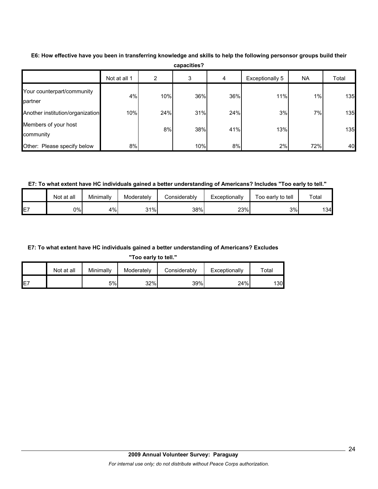|                                       | Not at all 1 | 2   | 3   | 4   | Exceptionally 5 | <b>NA</b> | Total |
|---------------------------------------|--------------|-----|-----|-----|-----------------|-----------|-------|
| Your counterpart/community<br>partner | 4%           | 10% | 36% | 36% | 11%             | 1%        | 135   |
| Another institution/organization      | 10%          | 24% | 31% | 24% | 3%              | 7%        | 135   |
| Members of your host<br>community     |              | 8%  | 38% | 41% | 13%             |           | 135   |
| Other: Please specify below           | 8%           |     | 10% | 8%  | 2%              | 72%       | 40    |

**E6: How effective have you been in transferring knowledge and skills to help the following personsor groups build their capacities?**

**E7: To what extent have HC individuals gained a better understanding of Americans? Includes "Too early to tell."**

|                | Not at all | Minimally | Moderately | ∠onsiderabl∨ | Exceptionally | Foo early to tell | $\tau$ otal |
|----------------|------------|-----------|------------|--------------|---------------|-------------------|-------------|
| <b>E7</b><br>ட | 0%I        | 4%        | 31%        | 38%          | 23%           | 3%                | 134I        |

### **E7: To what extent have HC individuals gained a better understanding of Americans? Excludes**

**"Too early to tell."**

|     | Not at all | Minimally | Moderately | Considerably | Exceptionally | $\tau$ otal |
|-----|------------|-----------|------------|--------------|---------------|-------------|
| IE7 |            | 5%l       | 32%        | 39%          | 24%           | 130l        |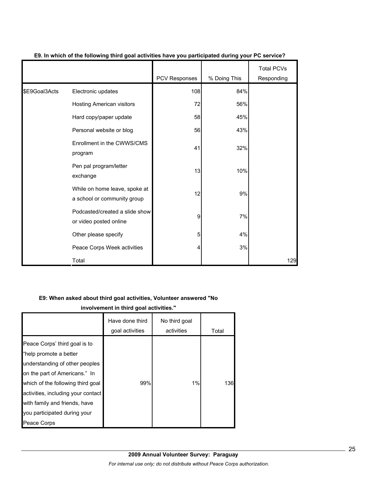|               |                                                              | PCV Responses | % Doing This | <b>Total PCVs</b><br>Responding |
|---------------|--------------------------------------------------------------|---------------|--------------|---------------------------------|
| \$E9Goal3Acts | Electronic updates                                           | 108           | 84%          |                                 |
|               | Hosting American visitors                                    | 72            | 56%          |                                 |
|               | Hard copy/paper update                                       | 58            | 45%          |                                 |
|               | Personal website or blog                                     | 56            | 43%          |                                 |
|               | Enrollment in the CWWS/CMS<br>program                        | 41            | 32%          |                                 |
|               | Pen pal program/letter<br>exchange                           | 13            | 10%          |                                 |
|               | While on home leave, spoke at<br>a school or community group | 12            | 9%           |                                 |
|               | Podcasted/created a slide show<br>or video posted online     | 9             | 7%           |                                 |
|               | Other please specify                                         | 5             | 4%           |                                 |
|               | Peace Corps Week activities                                  | 4             | 3%           |                                 |
|               | Total                                                        |               |              | 129                             |

#### **E9. In which of the following third goal activities have you participated during your PC service?**

#### **E9: When asked about third goal activities, Volunteer answered "No**

**involvement in third goal activities."** 

|                                                                                                                                                                                                                                                                                       | Have done third<br>goal activities | No third goal<br>activities | Total |
|---------------------------------------------------------------------------------------------------------------------------------------------------------------------------------------------------------------------------------------------------------------------------------------|------------------------------------|-----------------------------|-------|
| Peace Corps' third goal is to<br>"help promote a better<br>understanding of other peoples<br>on the part of Americans." In<br>which of the following third goal<br>activities, including your contact<br>with family and friends, have<br>you participated during your<br>Peace Corps | 99%                                | 1%                          | 136   |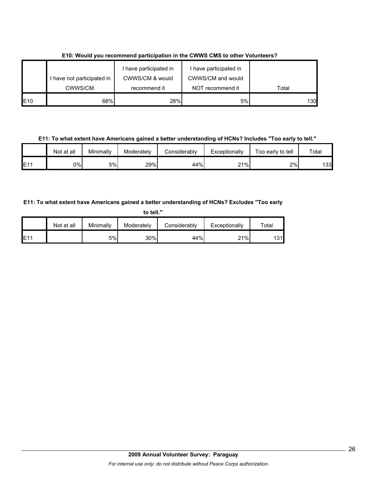|             | I have not participated in | I have participated in<br>CWWS/CM & would | I have participated in<br>CWWS/CM and would |       |
|-------------|----------------------------|-------------------------------------------|---------------------------------------------|-------|
|             | CWWS/CM.                   | recommend it                              | NOT recommend it                            | Total |
| <b>IE10</b> | 68%                        | 28%                                       | 5%                                          | 130   |

**E10: Would you recommend participation in the CWWS CMS to other Volunteers?**

**E11: To what extent have Americans gained a better understanding of HCNs? Includes "Too early to tell."**

|     | Not at all | Minimally | Moderately | Considerably | Exceptionally | Too early to tell | $\tau$ otal |
|-----|------------|-----------|------------|--------------|---------------|-------------------|-------------|
| E11 | 0%l        | 5%        | 29%        | 44%          | 21%<br>∠ ।    | 2%                | 133         |

### **E11: To what extent have Americans gained a better understanding of HCNs? Excludes "Too early**

| to tell." |            |           |            |              |               |       |  |  |
|-----------|------------|-----------|------------|--------------|---------------|-------|--|--|
|           | Not at all | Minimally | Moderately | Considerably | Exceptionally | Total |  |  |
| E11       |            | 5%        | 30%        | 44%          | 21%           | 131   |  |  |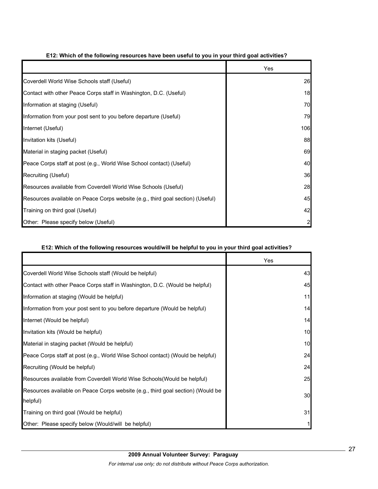|                                                                                | Yes            |
|--------------------------------------------------------------------------------|----------------|
| Coverdell World Wise Schools staff (Useful)                                    | 26             |
| Contact with other Peace Corps staff in Washington, D.C. (Useful)              | 18             |
| Information at staging (Useful)                                                | 70             |
| Information from your post sent to you before departure (Useful)               | 79             |
| Internet (Useful)                                                              | 106            |
| Invitation kits (Useful)                                                       | 88             |
| Material in staging packet (Useful)                                            | 69             |
| Peace Corps staff at post (e.g., World Wise School contact) (Useful)           | 40             |
| Recruiting (Useful)                                                            | 36             |
| Resources available from Coverdell World Wise Schools (Useful)                 | 28             |
| Resources available on Peace Corps website (e.g., third goal section) (Useful) | 45             |
| Training on third goal (Useful)                                                | 42             |
| Other: Please specify below (Useful)                                           | $\overline{2}$ |

#### **E12: Which of the following resources have been useful to you in your third goal activities?**

#### **E12: Which of the following resources would/will be helpful to you in your third goal activities?**

|                                                                                 | Yes |
|---------------------------------------------------------------------------------|-----|
| Coverdell World Wise Schools staff (Would be helpful)                           | 43  |
| Contact with other Peace Corps staff in Washington, D.C. (Would be helpful)     | 45  |
| Information at staging (Would be helpful)                                       | 11  |
| Information from your post sent to you before departure (Would be helpful)      | 14  |
| Internet (Would be helpful)                                                     | 14  |
| Invitation kits (Would be helpful)                                              | 10  |
| Material in staging packet (Would be helpful)                                   | 10  |
| Peace Corps staff at post (e.g., World Wise School contact) (Would be helpful)  | 24  |
| Recruiting (Would be helpful)                                                   | 24  |
| Resources available from Coverdell World Wise Schools (Would be helpful)        | 25  |
| Resources available on Peace Corps website (e.g., third goal section) (Would be | 30  |
| helpful)                                                                        |     |
| Training on third goal (Would be helpful)                                       | 31  |
| Other: Please specify below (Would/will be helpful)                             |     |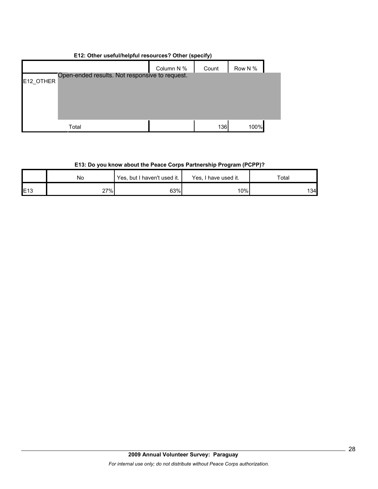|           | E12: Other useful/neipful resources ? Other (specify) |            |       |         |  |  |  |  |
|-----------|-------------------------------------------------------|------------|-------|---------|--|--|--|--|
|           |                                                       | Column N % | Count | Row N % |  |  |  |  |
| E12 OTHER | Open-ended results. Not responsive to request.        |            |       |         |  |  |  |  |
|           |                                                       |            |       |         |  |  |  |  |
|           |                                                       |            |       |         |  |  |  |  |
|           |                                                       |            |       |         |  |  |  |  |
|           | Total                                                 |            | 136   | 100%    |  |  |  |  |

# **E12: Other useful/helpful resources? Other (specify)**

# **E13: Do you know about the Peace Corps Partnership Program (PCPP)?**

|     | No  | Yes, but I haven't used it. | Yes, I have used it. | $\tau$ otal |  |
|-----|-----|-----------------------------|----------------------|-------------|--|
| E13 | 27% | 63%                         | 10%                  | 134         |  |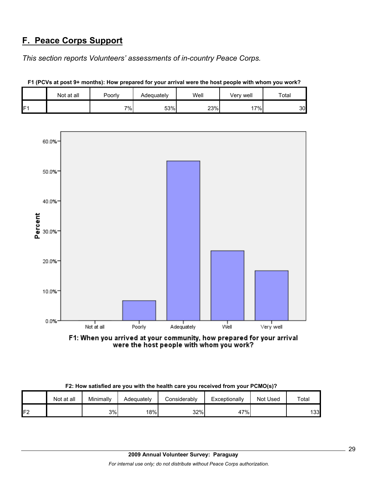# **F. Peace Corps Support**

*This section reports Volunteers' assessments of in-country Peace Corps.* 

|                | Not at all | Poorly | Adequately | Well | Very well | Total |
|----------------|------------|--------|------------|------|-----------|-------|
| F <sub>1</sub> |            | 7%     | 53%        | 23%  | 17%       | 30    |





F1: When you arrived at your community, how prepared for your arrival were the host people with whom you work?

| F2: How satisfied are you with the health care you received from your PCMO(s)? |  |  |
|--------------------------------------------------------------------------------|--|--|
|--------------------------------------------------------------------------------|--|--|

|         | Not at all | Minimally | Adequately | <b>Considerably</b> | Exceptionally | Not Used | Total |
|---------|------------|-----------|------------|---------------------|---------------|----------|-------|
| F2<br>L |            | 3%        | 18%        | 32%                 | 47%           |          | 133   |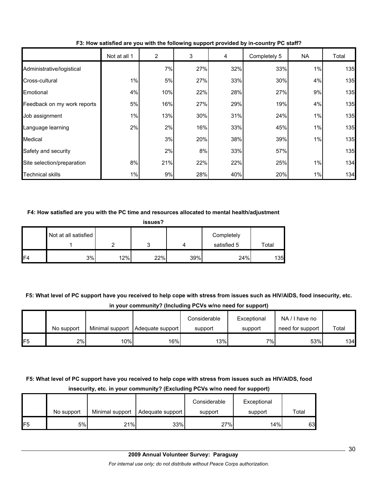|                             | Not at all 1 | $\overline{2}$ | 3   | 4   | Completely 5 | NA. | Total |
|-----------------------------|--------------|----------------|-----|-----|--------------|-----|-------|
| Administrative/logistical   |              | 7%             | 27% | 32% | 33%          | 1%  | 135   |
| Cross-cultural              | 1%           | 5%             | 27% | 33% | 30%          | 4%  | 135   |
| Emotional                   | 4%           | 10%            | 22% | 28% | 27%          | 9%  | 135   |
| Feedback on my work reports | 5%           | 16%            | 27% | 29% | 19%          | 4%  | 135   |
| Job assignment              | 1%           | 13%            | 30% | 31% | 24%          | 1%  | 135   |
| Language learning           | 2%           | 2%             | 16% | 33% | 45%          | 1%  | 135   |
| Medical                     |              | 3%             | 20% | 38% | 39%          | 1%  | 135   |
| Safety and security         |              | 2%             | 8%  | 33% | 57%          |     | 135   |
| Site selection/preparation  | 8%           | 21%            | 22% | 22% | 25%          | 1%  | 134   |
| <b>Technical skills</b>     | 1%           | 9%             | 28% | 40% | 20%          | 1%  | 134   |

**F3: How satisfied are you with the following support provided by in-country PC staff?**

#### **F4: How satisfied are you with the PC time and resources allocated to mental health/adjustment**

| issues?        |                      |     |     |     |                           |       |  |  |  |
|----------------|----------------------|-----|-----|-----|---------------------------|-------|--|--|--|
|                | Not at all satisfied |     |     |     | Completely<br>satisfied 5 | Total |  |  |  |
| F <sub>4</sub> | 3%                   | 12% | 22% | 39% | 24%                       | 135   |  |  |  |

**F5: What level of PC support have you received to help cope with stress from issues such as HIV/AIDS, food insecurity, etc. in your community? (Including PCVs w/no need for support)**

|     |            |     |                                    | Considerable | Exceptional | NA/I have no     |       |
|-----|------------|-----|------------------------------------|--------------|-------------|------------------|-------|
|     | No support |     | Minimal support   Adequate support | support      | support     | need for support | Total |
| IF5 | 2%         | 10% | 16%                                | 13%          | 7%1         | 53%              | 134   |

# **F5: What level of PC support have you received to help cope with stress from issues such as HIV/AIDS, food insecurity, etc. in your community? (Excluding PCVs w/no need for support)**

|                 |            |                 |                  | Considerable | Exceptional |       |
|-----------------|------------|-----------------|------------------|--------------|-------------|-------|
|                 | No support | Minimal support | Adequate support | support      | support     | Total |
| IF <sub>5</sub> | 5%l        | 21%             | 33%              | 27%          | 14%         | 63I   |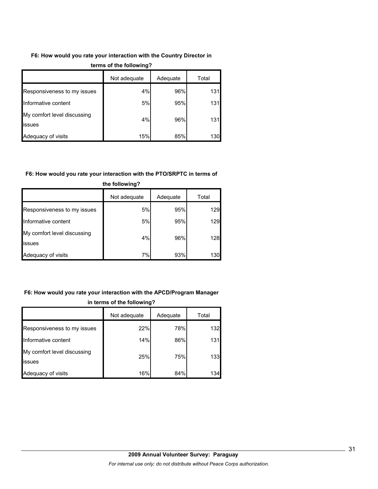### **F6: How would you rate your interaction with the Country Director in**

|                                       | Not adequate | Adequate | Total |  |
|---------------------------------------|--------------|----------|-------|--|
| Responsiveness to my issues           | 4%           | 96%      | 131   |  |
| Informative content                   | 5%           | 95%      | 131   |  |
| My comfort level discussing<br>issues | 4%           | 96%      | 131   |  |
| Adequacy of visits                    | 15%          | 85%      | 130   |  |

#### **terms of the following?**

#### **F6: How would you rate your interaction with the PTO/SRPTC in terms of**

| the following?                               |              |          |       |  |  |  |
|----------------------------------------------|--------------|----------|-------|--|--|--|
|                                              | Not adequate | Adequate | Total |  |  |  |
| Responsiveness to my issues                  | 5%           | 95%      | 129   |  |  |  |
| Informative content                          | 5%           | 95%      | 129   |  |  |  |
| My comfort level discussing<br><b>issues</b> | 4%           | 96%      | 128   |  |  |  |
| Adequacy of visits                           | 7%           | 93%      | 130   |  |  |  |

# **F6: How would you rate your interaction with the APCD/Program Manager in terms of the following?**

|                                       | Not adequate | Adequate | Total |
|---------------------------------------|--------------|----------|-------|
| Responsiveness to my issues           | 22%          | 78%      | 132   |
| Informative content                   | 14%          | 86%      | 131   |
| My comfort level discussing<br>issues | 25%          | 75%      | 133   |
| Adequacy of visits                    | 16%          | 84%      | 134   |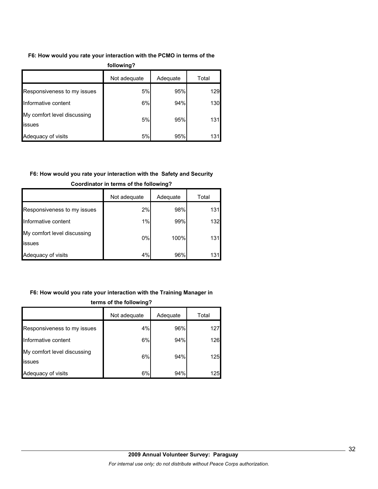#### **F6: How would you rate your interaction with the PCMO in terms of the**

| following?                            |              |          |       |  |  |
|---------------------------------------|--------------|----------|-------|--|--|
|                                       | Not adequate | Adequate | Total |  |  |
| Responsiveness to my issues           | 5%           | 95%      | 129   |  |  |
| Informative content                   | 6%           | 94%      | 130   |  |  |
| My comfort level discussing<br>issues | 5%           | 95%      | 131   |  |  |
| Adequacy of visits                    | 5%           | 95%      | 131   |  |  |

# **F6: How would you rate your interaction with the Safety and Security**

|                                               | Not adequate | Adequate | Total |
|-----------------------------------------------|--------------|----------|-------|
| Responsiveness to my issues                   | 2%           | 98%      | 131   |
| Informative content                           | 1%           | 99%      | 132   |
| My comfort level discussing<br><b>lissues</b> | 0%           | 100%     | 131   |
| Adequacy of visits                            | 4%           | 96%      | 131   |

### **Coordinator in terms of the following?**

### **F6: How would you rate your interaction with the Training Manager in**

|                                       | Not adequate | Adequate | Total |  |  |
|---------------------------------------|--------------|----------|-------|--|--|
| Responsiveness to my issues           | 4%           | 96%      | 127   |  |  |
| Informative content                   | 6%           | 94%      | 126   |  |  |
| My comfort level discussing<br>issues | 6%           | 94%      | 125   |  |  |
| Adequacy of visits                    | 6%           | 94%      | 125   |  |  |

#### **terms of the following?**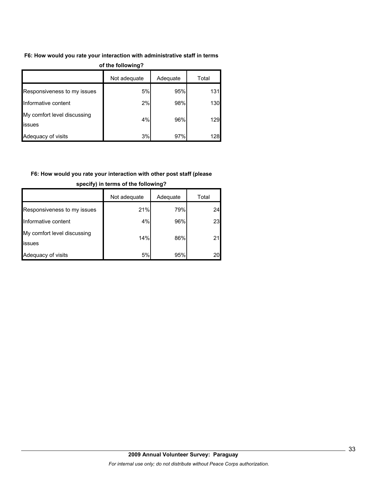#### **F6: How would you rate your interaction with administrative staff in terms**

| vi ulu lvilvillig i                   |              |          |       |  |  |
|---------------------------------------|--------------|----------|-------|--|--|
|                                       | Not adequate | Adequate | Total |  |  |
| Responsiveness to my issues           | 5%           | 95%      | 131   |  |  |
| Informative content                   | 2%           | 98%      | 130   |  |  |
| My comfort level discussing<br>issues | 4%           | 96%      | 129   |  |  |
| Adequacy of visits                    | 3%           | 97%      | 128   |  |  |

#### **of the following?**

# **F6: How would you rate your interaction with other post staff (please**

|                                       | Not adequate | Adequate | Total |
|---------------------------------------|--------------|----------|-------|
| Responsiveness to my issues           | 21%          | 79%      | 24    |
| Informative content                   | 4%           | 96%      | 23    |
| My comfort level discussing<br>issues | 14%          | 86%      |       |
| Adequacy of visits                    | 5%           | 95%      |       |

#### **specify) in terms of the following?**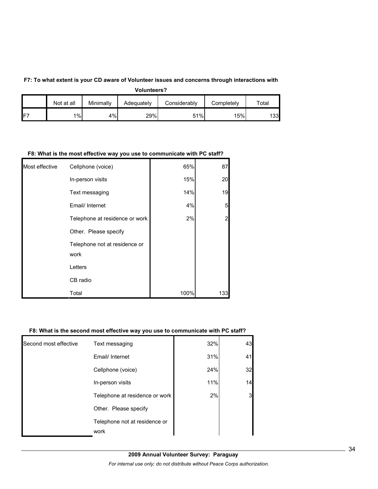#### **F7: To what extent is your CD aware of Volunteer issues and concerns through interactions with**

**Volunteers?**

|      | Not at all | Minimally | Adequately | Considerablv | Completely | $\tau$ otal |
|------|------------|-----------|------------|--------------|------------|-------------|
| IFT. | 1%         | 4%        | 29%        | 51%          | 15%        | 133         |

#### **F8: What is the most effective way you use to communicate with PC staff?**

| Most effective | Cellphone (voice)                     | 65%  | 87  |
|----------------|---------------------------------------|------|-----|
|                | In-person visits                      | 15%  | 20  |
|                | Text messaging                        | 14%  | 19  |
|                | Email/ Internet                       | 4%   | 5   |
|                | Telephone at residence or work        | 2%   | 2   |
|                | Other. Please specify                 |      |     |
|                | Telephone not at residence or<br>work |      |     |
|                | Letters                               |      |     |
|                | CB radio                              |      |     |
|                | Total                                 | 100% | 133 |

#### **F8: What is the second most effective way you use to communicate with PC staff?**

|                       | Telephone not at residence or<br>work |     |    |
|-----------------------|---------------------------------------|-----|----|
|                       | Other. Please specify                 |     |    |
|                       | Telephone at residence or work        | 2%  |    |
|                       | In-person visits                      | 11% | 14 |
|                       | Cellphone (voice)                     | 24% | 32 |
|                       | Email/ Internet                       | 31% | 41 |
| Second most effective | Text messaging                        | 32% | 43 |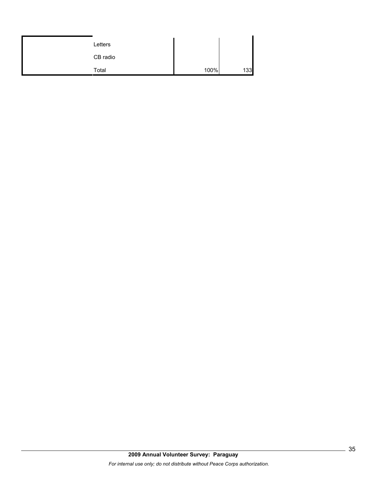| Letters  |      |     |
|----------|------|-----|
| CB radio |      |     |
| Total    | 100% | 133 |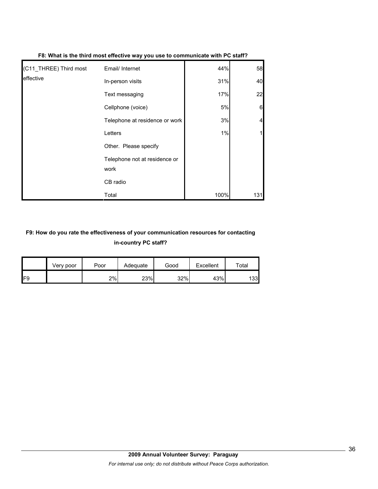| (C11_THREE) Third most | Email/ Internet                       | 44%  | 58  |
|------------------------|---------------------------------------|------|-----|
| effective              | In-person visits                      | 31%  | 40  |
|                        | Text messaging                        | 17%  | 22  |
|                        | Cellphone (voice)                     | 5%   | 6   |
|                        | Telephone at residence or work        | 3%   |     |
|                        | Letters                               | 1%   |     |
|                        | Other. Please specify                 |      |     |
|                        | Telephone not at residence or<br>work |      |     |
|                        | CB radio                              |      |     |
|                        | Total                                 | 100% | 131 |

#### **F8: What is the third most effective way you use to communicate with PC staff?**

# **F9: How do you rate the effectiveness of your communication resources for contacting in-country PC staff?**

|                 | Very poor | Poor | Adequate | Good | Excellent | $\tau$ otal |
|-----------------|-----------|------|----------|------|-----------|-------------|
| IF <sub>9</sub> |           | 2%   | 23%      | 32%  | 43%       | 133         |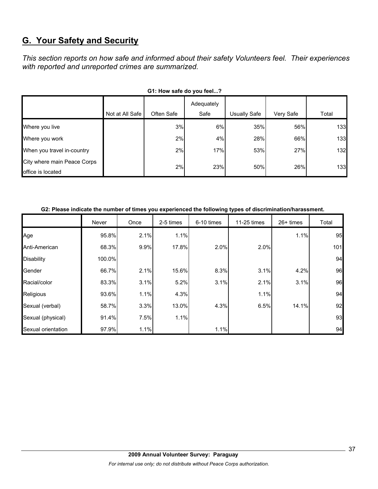# **G. Your Safety and Security**

*This section reports on how safe and informed about their safety Volunteers feel. Their experiences with reported and unreported crimes are summarized.* 

| OT. TIOW SAIG UP YOU IGGI!                       |                 |            |                    |                     |           |       |  |  |  |
|--------------------------------------------------|-----------------|------------|--------------------|---------------------|-----------|-------|--|--|--|
|                                                  | Not at All Safe | Often Safe | Adequately<br>Safe | <b>Usually Safe</b> | Very Safe | Total |  |  |  |
| Where you live                                   |                 | 3%         | 6%                 | 35%                 | 56%       | 133   |  |  |  |
| Where you work                                   |                 | 2%         | 4%                 | 28%                 | 66%       | 133   |  |  |  |
| When you travel in-country                       |                 | 2%         | 17%                | 53%                 | 27%       | 132   |  |  |  |
| City where main Peace Corps<br>office is located |                 | 2%         | 23%                | 50%                 | 26%       | 133   |  |  |  |

#### G1: How safe do you feel.<sup>2</sup>

#### **G2: Please indicate the number of times you experienced the following types of discrimination/harassment.**

|                    | Never  | Once | 2-5 times | 6-10 times | 11-25 times | $26+$ times | Total |
|--------------------|--------|------|-----------|------------|-------------|-------------|-------|
| Age                | 95.8%  | 2.1% | 1.1%      |            |             | 1.1%        | 95    |
| Anti-American      | 68.3%  | 9.9% | 17.8%     | 2.0%       | 2.0%        |             | 101   |
| <b>Disability</b>  | 100.0% |      |           |            |             |             | 94    |
| Gender             | 66.7%  | 2.1% | 15.6%     | 8.3%       | 3.1%        | 4.2%        | 96    |
| Racial/color       | 83.3%  | 3.1% | 5.2%      | 3.1%       | 2.1%        | 3.1%        | 96    |
| Religious          | 93.6%  | 1.1% | 4.3%      |            | 1.1%        |             | 94    |
| Sexual (verbal)    | 58.7%  | 3.3% | 13.0%     | 4.3%       | 6.5%        | 14.1%       | 92    |
| Sexual (physical)  | 91.4%  | 7.5% | 1.1%      |            |             |             | 93    |
| Sexual orientation | 97.9%  | 1.1% |           | 1.1%       |             |             | 94    |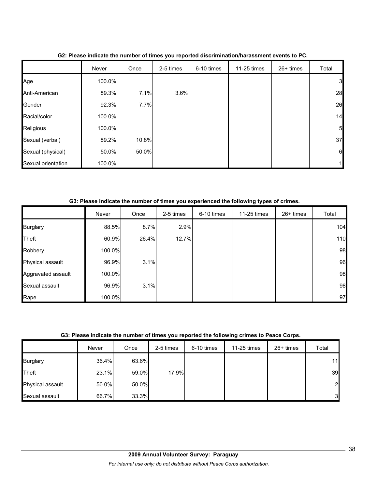|                    | Never  | Once  | 2-5 times | 6-10 times | 11-25 times | 26+ times | Total          |
|--------------------|--------|-------|-----------|------------|-------------|-----------|----------------|
| Age                | 100.0% |       |           |            |             |           | $\mathbf{3}$   |
| Anti-American      | 89.3%  | 7.1%  | 3.6%      |            |             |           | 28             |
| Gender             | 92.3%  | 7.7%  |           |            |             |           | 26             |
| Racial/color       | 100.0% |       |           |            |             |           | 14             |
| Religious          | 100.0% |       |           |            |             |           | 5 <sub>l</sub> |
| Sexual (verbal)    | 89.2%  | 10.8% |           |            |             |           | 37             |
| Sexual (physical)  | 50.0%  | 50.0% |           |            |             |           | 6              |
| Sexual orientation | 100.0% |       |           |            |             |           |                |

**G2: Please indicate the number of times you reported discrimination/harassment events to PC.**

**G3: Please indicate the number of times you experienced the following types of crimes.**

|                    | Never  | Once  | 2-5 times | 6-10 times | 11-25 times | 26+ times | Total |
|--------------------|--------|-------|-----------|------------|-------------|-----------|-------|
| <b>Burglary</b>    | 88.5%  | 8.7%  | 2.9%      |            |             |           | 104   |
| Theft              | 60.9%  | 26.4% | 12.7%     |            |             |           | 110   |
| Robbery            | 100.0% |       |           |            |             |           | 98    |
| Physical assault   | 96.9%  | 3.1%  |           |            |             |           | 96    |
| Aggravated assault | 100.0% |       |           |            |             |           | 98    |
| Sexual assault     | 96.9%  | 3.1%  |           |            |             |           | 98    |
| Rape               | 100.0% |       |           |            |             |           | 97    |

#### **G3: Please indicate the number of times you reported the following crimes to Peace Corps.**

|                  | Never | Once  | 2-5 times | 6-10 times | 11-25 times | $26+$ times | Total          |
|------------------|-------|-------|-----------|------------|-------------|-------------|----------------|
| <b>Burglary</b>  | 36.4% | 63.6% |           |            |             |             | 11             |
| Theft            | 23.1% | 59.0% | 17.9%     |            |             |             | 39             |
| Physical assault | 50.0% | 50.0% |           |            |             |             | $\overline{2}$ |
| Sexual assault   | 66.7% | 33.3% |           |            |             |             | 3              |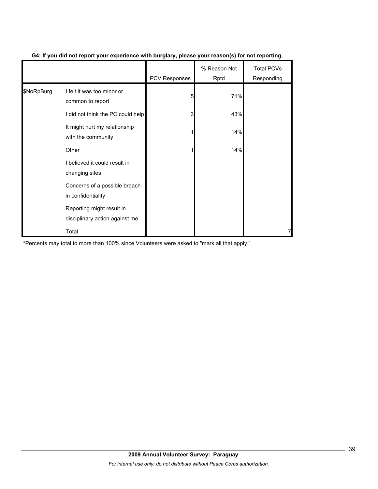|            |                                                             | PCV Responses | % Reason Not<br>Rptd | <b>Total PCVs</b><br>Responding |
|------------|-------------------------------------------------------------|---------------|----------------------|---------------------------------|
| \$NoRpBurg | I felt it was too minor or<br>common to report              | 5             | 71%                  |                                 |
|            | I did not think the PC could help                           | 3             | 43%                  |                                 |
|            | It might hurt my relationship<br>with the community         |               | 14%                  |                                 |
|            | Other                                                       |               | 14%                  |                                 |
|            | I believed it could result in<br>changing sites             |               |                      |                                 |
|            | Concerns of a possible breach<br>in confidentiality         |               |                      |                                 |
|            | Reporting might result in<br>disciplinary action against me |               |                      |                                 |
|            | Total                                                       |               |                      |                                 |

#### **G4: If you did not report your experience with burglary, please your reason(s) for not reporting.**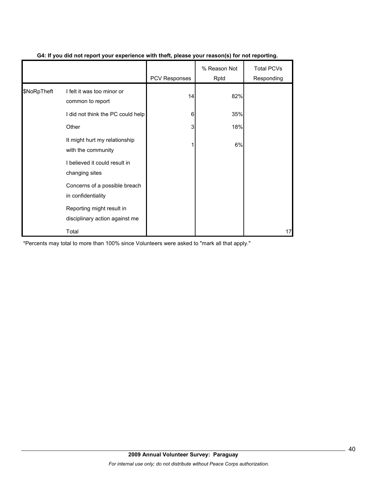|             |                                                             | <b>PCV Responses</b> | % Reason Not<br>Rptd | <b>Total PCVs</b><br>Responding |
|-------------|-------------------------------------------------------------|----------------------|----------------------|---------------------------------|
| \$NoRpTheft | I felt it was too minor or<br>common to report              | 14                   | 82%                  |                                 |
|             | I did not think the PC could help                           | 6                    | 35%                  |                                 |
|             | Other                                                       | 3                    | 18%                  |                                 |
|             | It might hurt my relationship<br>with the community         |                      | 6%                   |                                 |
|             | I believed it could result in<br>changing sites             |                      |                      |                                 |
|             | Concerns of a possible breach<br>in confidentiality         |                      |                      |                                 |
|             | Reporting might result in<br>disciplinary action against me |                      |                      |                                 |
|             | Total                                                       |                      |                      | 17                              |

#### **G4: If you did not report your experience with theft, please your reason(s) for not reporting.**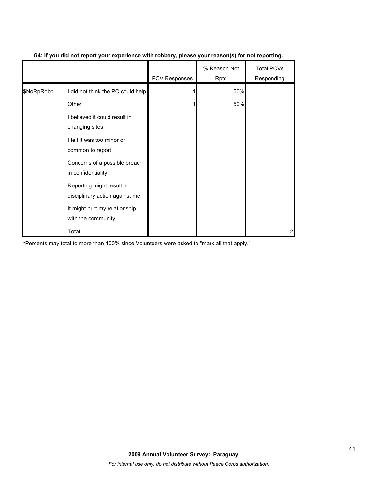|            |                                                             | PCV Responses | % Reason Not<br>Rptd | <b>Total PCVs</b><br>Responding |
|------------|-------------------------------------------------------------|---------------|----------------------|---------------------------------|
| \$NoRpRobb | I did not think the PC could help                           |               | 50%                  |                                 |
|            | Other                                                       |               | 50%                  |                                 |
|            | I believed it could result in<br>changing sites             |               |                      |                                 |
|            | I felt it was too minor or<br>common to report              |               |                      |                                 |
|            | Concerns of a possible breach<br>in confidentiality         |               |                      |                                 |
|            | Reporting might result in<br>disciplinary action against me |               |                      |                                 |
|            | It might hurt my relationship<br>with the community         |               |                      |                                 |
|            | Total                                                       |               |                      | 2                               |

#### **G4: If you did not report your experience with robbery, please your reason(s) for not reporting.**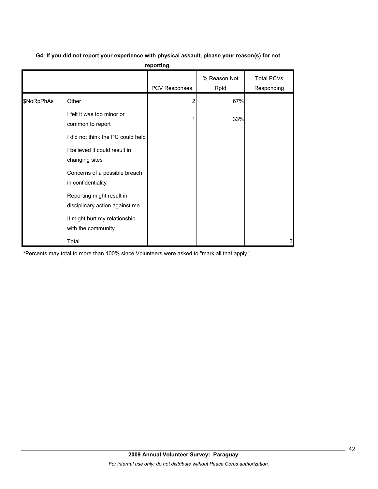| G4: If you did not report your experience with physical assault, please your reason(s) for not |  |
|------------------------------------------------------------------------------------------------|--|
|                                                                                                |  |

**reporting.**

|            |                                                             | <b>PCV Responses</b> | % Reason Not<br>Rptd | <b>Total PCVs</b><br>Responding |
|------------|-------------------------------------------------------------|----------------------|----------------------|---------------------------------|
| \$NoRpPhAs | Other                                                       |                      | 67%                  |                                 |
|            | I felt it was too minor or<br>common to report              |                      | 33%                  |                                 |
|            | I did not think the PC could help                           |                      |                      |                                 |
|            | I believed it could result in<br>changing sites             |                      |                      |                                 |
|            | Concerns of a possible breach<br>in confidentiality         |                      |                      |                                 |
|            | Reporting might result in<br>disciplinary action against me |                      |                      |                                 |
|            | It might hurt my relationship<br>with the community         |                      |                      |                                 |
|            | Total                                                       |                      |                      | 3                               |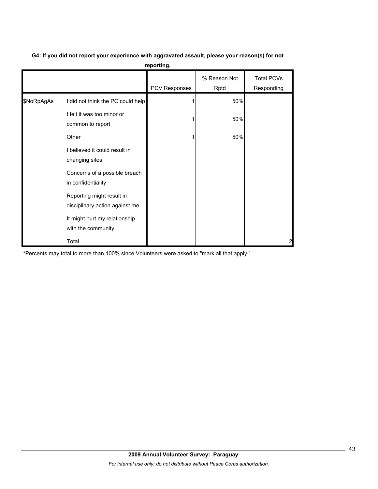|            |                                                             | PCV Responses | % Reason Not<br>Rptd | <b>Total PCVs</b><br>Responding |
|------------|-------------------------------------------------------------|---------------|----------------------|---------------------------------|
| \$NoRpAgAs | I did not think the PC could help                           |               | 50%                  |                                 |
|            | I felt it was too minor or<br>common to report              |               | 50%                  |                                 |
|            | Other                                                       |               | 50%                  |                                 |
|            | I believed it could result in<br>changing sites             |               |                      |                                 |
|            | Concerns of a possible breach<br>in confidentiality         |               |                      |                                 |
|            | Reporting might result in<br>disciplinary action against me |               |                      |                                 |
|            | It might hurt my relationship<br>with the community         |               |                      |                                 |
|            | Total                                                       |               |                      | 2                               |

### **G4: If you did not report your experience with aggravated assault, please your reason(s) for not reporting.**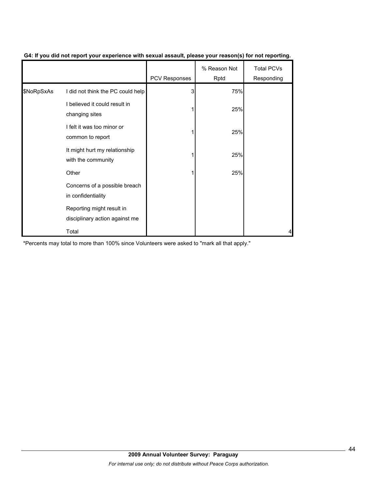|            |                                                             | PCV Responses | % Reason Not<br>Rptd | <b>Total PCVs</b><br>Responding |
|------------|-------------------------------------------------------------|---------------|----------------------|---------------------------------|
| \$NoRpSxAs | I did not think the PC could help                           | 3             | 75%                  |                                 |
|            | I believed it could result in<br>changing sites             |               | 25%                  |                                 |
|            | I felt it was too minor or<br>common to report              |               | 25%                  |                                 |
|            | It might hurt my relationship<br>with the community         |               | 25%                  |                                 |
|            | Other                                                       |               | 25%                  |                                 |
|            | Concerns of a possible breach<br>in confidentiality         |               |                      |                                 |
|            | Reporting might result in<br>disciplinary action against me |               |                      |                                 |
|            | Total                                                       |               |                      | 4                               |

#### **G4: If you did not report your experience with sexual assault, please your reason(s) for not reporting.**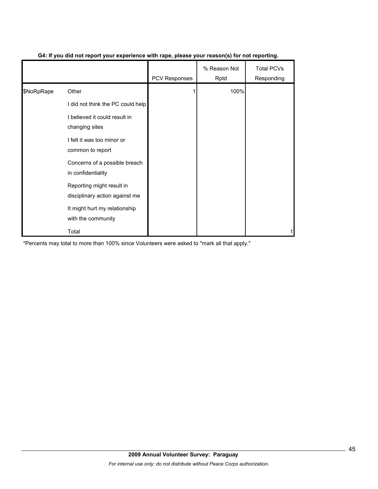|            |                                                             | <b>PCV Responses</b> | % Reason Not<br>Rptd | <b>Total PCVs</b><br>Responding |
|------------|-------------------------------------------------------------|----------------------|----------------------|---------------------------------|
| \$NoRpRape | Other                                                       |                      | 100%                 |                                 |
|            | I did not think the PC could help                           |                      |                      |                                 |
|            | I believed it could result in<br>changing sites             |                      |                      |                                 |
|            | I felt it was too minor or<br>common to report              |                      |                      |                                 |
|            | Concerns of a possible breach<br>in confidentiality         |                      |                      |                                 |
|            | Reporting might result in<br>disciplinary action against me |                      |                      |                                 |
|            | It might hurt my relationship<br>with the community         |                      |                      |                                 |
|            | Total                                                       |                      |                      |                                 |

#### **G4: If you did not report your experience with rape, please your reason(s) for not reporting.**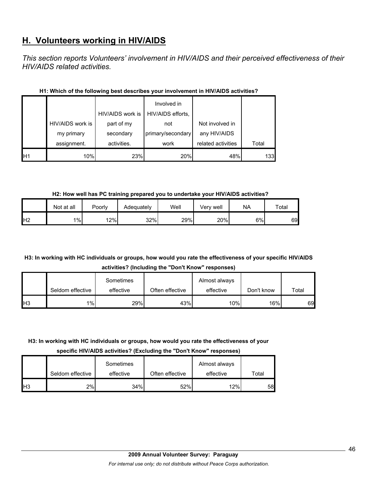# **H. Volunteers working in HIV/AIDS**

*This section reports Volunteers' involvement in HIV/AIDS and their perceived effectiveness of their HIV/AIDS related activities.* 

|                |                  | HIV/AIDS work is | Involved in<br>HIV/AIDS efforts, |                    |       |
|----------------|------------------|------------------|----------------------------------|--------------------|-------|
|                | HIV/AIDS work is | part of my       | not                              | Not involved in    |       |
|                | my primary       | secondary        | primary/secondary                | any HIV/AIDS       |       |
|                | assignment.      | activities.      | work                             | related activities | Total |
| H <sub>1</sub> | 10%              | 23%              | 20%                              | 48%                | 133   |

#### **H1: Which of the following best describes your involvement in HIV/AIDS activities?**

**H2: How well has PC training prepared you to undertake your HIV/AIDS activities?**

|                | Not at all | Poorly | Adequately | Well | Verv well | NA | Total |
|----------------|------------|--------|------------|------|-----------|----|-------|
| H <sub>2</sub> | 1%         | 12%    | 32%        | 29%  | 20%       | 6% | 69    |

# **H3: In working with HC individuals or groups, how would you rate the effectiveness of your specific HIV/AIDS activities? (Including the "Don't Know" responses)**

|            |                  | Sometimes |                 | Almost always |                  |       |
|------------|------------------|-----------|-----------------|---------------|------------------|-------|
|            | Seldom effective | effective | Often effective | effective     | Don't know       | Total |
| <b>IH3</b> | $1\%$            | 29%       | 43%             | 10%           | 16% <sub>I</sub> | 69    |

### **H3: In working with HC individuals or groups, how would you rate the effectiveness of your**

**specific HIV/AIDS activities? (Excluding the "Don't Know" responses)**

|                 | Seldom effective | Sometimes<br>effective | Often effective | Almost always<br>effective | Total |
|-----------------|------------------|------------------------|-----------------|----------------------------|-------|
| IH <sub>3</sub> | 2%               | $34\%$                 | 52%             | 12%                        | 58    |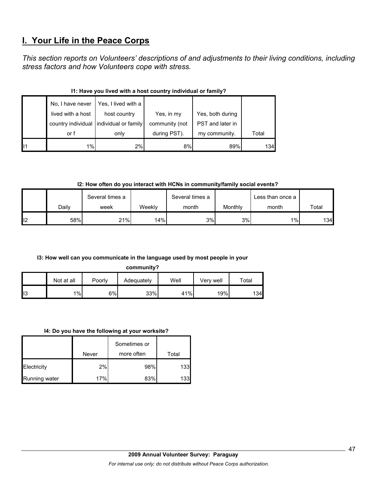# **I. Your Life in the Peace Corps**

*This section reports on Volunteers' descriptions of and adjustments to their living conditions, including stress factors and how Volunteers cope with stress.* 

|    | No, I have never  | Yes, I lived with a                     |                |                  |       |  |  |  |  |
|----|-------------------|-----------------------------------------|----------------|------------------|-------|--|--|--|--|
|    | lived with a host | host country                            | Yes, in my     | Yes, both during |       |  |  |  |  |
|    |                   | country individual individual or family | community (not | PST and later in |       |  |  |  |  |
|    | or f              | only                                    | during PST).   | my community.    | Total |  |  |  |  |
| 11 | 1%                | 2%                                      | 8%             | 89%              | 134   |  |  |  |  |

#### **I1: Have you lived with a host country individual or family?**

**I2: How often do you interact with HCNs in community/family social events?**

|     |       | Several times a |        | Several times a |         | Less than once a I |       |
|-----|-------|-----------------|--------|-----------------|---------|--------------------|-------|
|     | Dailv | week            | Weekly | month           | Monthly | month              | Total |
| II2 | 58%   | 21%             | 14%    | 3%              | 3%      | 1%                 | 134   |

#### **I3: How well can you communicate in the language used by most people in your**

**community?**

|     | Not at all | Poorly | Adequately | Well | Verv well | $\tau$ otal |
|-----|------------|--------|------------|------|-----------|-------------|
| II3 | 1%         | $6\%$  | 33%        | 41%  | 19%       | 134l        |

#### **I4: Do you have the following at your worksite?**

|               | Never | Sometimes or<br>more often | Total |
|---------------|-------|----------------------------|-------|
| Electricity   | 2%    | 98%                        | 133   |
| Running water | 17%   | 83%                        | 133   |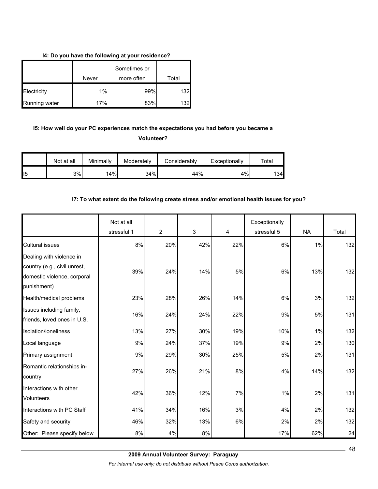#### **I4: Do you have the following at your residence?**

|               |       | Sometimes or |                  |
|---------------|-------|--------------|------------------|
|               | Never | more often   | Total            |
| Electricity   | 1%    | 99%          | 132              |
| Running water | 17%   | 83%          | 132 <sub>h</sub> |

# **I5: How well do your PC experiences match the expectations you had before you became a**

**Volunteer?** 

|                 | Not at all | Minimally | Moderately | Considerably | Exceptionally | $\tau$ otal |
|-----------------|------------|-----------|------------|--------------|---------------|-------------|
| II <sub>5</sub> | 3%         | 14%       | 34%        | 44%          | 4%            | 134         |

#### **I7: To what extent do the following create stress and/or emotional health issues for you?**

|                                                                                                        | Not at all<br>stressful 1 | $\overline{2}$ | 3   | 4   | Exceptionally<br>stressful 5 | <b>NA</b> | Total |
|--------------------------------------------------------------------------------------------------------|---------------------------|----------------|-----|-----|------------------------------|-----------|-------|
| <b>Cultural issues</b>                                                                                 | 8%                        | 20%            | 42% | 22% | 6%                           | 1%        | 132   |
| Dealing with violence in<br>country (e.g., civil unrest,<br>domestic violence, corporal<br>punishment) | 39%                       | 24%            | 14% | 5%  | 6%                           | 13%       | 132   |
| Health/medical problems                                                                                | 23%                       | 28%            | 26% | 14% | 6%                           | $3%$      | 132   |
| Issues including family,<br>friends, loved ones in U.S.                                                | 16%                       | 24%            | 24% | 22% | 9%                           | 5%        | 131   |
| Isolation/loneliness                                                                                   | 13%                       | 27%            | 30% | 19% | 10%                          | 1%        | 132   |
| Local language                                                                                         | 9%                        | 24%            | 37% | 19% | 9%                           | 2%        | 130   |
| Primary assignment                                                                                     | 9%                        | 29%            | 30% | 25% | 5%                           | 2%        | 131   |
| Romantic relationships in-<br>country                                                                  | 27%                       | 26%            | 21% | 8%  | 4%                           | 14%       | 132   |
| Interactions with other<br><b>Volunteers</b>                                                           | 42%                       | 36%            | 12% | 7%  | $1\%$                        | 2%        | 131   |
| Interactions with PC Staff                                                                             | 41%                       | 34%            | 16% | 3%  | 4%                           | 2%        | 132   |
| Safety and security                                                                                    | 46%                       | 32%            | 13% | 6%  | 2%                           | 2%        | 132   |
| Other: Please specify below                                                                            | 8%                        | 4%             | 8%  |     | 17%                          | 62%       | 24    |

*For internal use only; do not distribute without Peace Corps authorization.*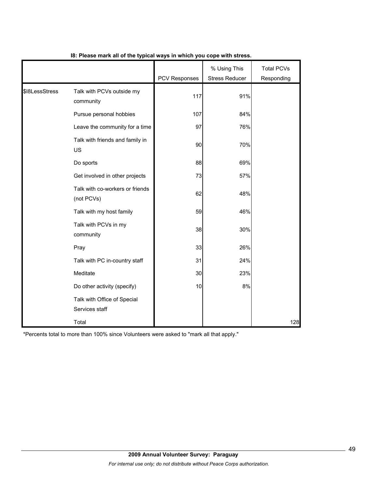|                |                                               | <b>PCV Responses</b> | % Using This<br><b>Stress Reducer</b> | <b>Total PCVs</b><br>Responding |
|----------------|-----------------------------------------------|----------------------|---------------------------------------|---------------------------------|
| \$18LessStress | Talk with PCVs outside my<br>community        | 117                  | 91%                                   |                                 |
|                | Pursue personal hobbies                       | 107                  | 84%                                   |                                 |
|                | Leave the community for a time                | 97                   | 76%                                   |                                 |
|                | Talk with friends and family in<br><b>US</b>  | 90                   | 70%                                   |                                 |
|                | Do sports                                     | 88                   | 69%                                   |                                 |
|                | Get involved in other projects                | 73                   | 57%                                   |                                 |
|                | Talk with co-workers or friends<br>(not PCVs) | 62                   | 48%                                   |                                 |
|                | Talk with my host family                      | 59                   | 46%                                   |                                 |
|                | Talk with PCVs in my<br>community             | 38                   | 30%                                   |                                 |
|                | Pray                                          | 33                   | 26%                                   |                                 |
|                | Talk with PC in-country staff                 | 31                   | 24%                                   |                                 |
|                | Meditate                                      | 30                   | 23%                                   |                                 |
|                | Do other activity (specify)                   | 10                   | 8%                                    |                                 |
|                | Talk with Office of Special<br>Services staff |                      |                                       |                                 |
|                | Total                                         |                      |                                       | 128                             |

#### **I8: Please mark all of the typical ways in which you cope with stress.**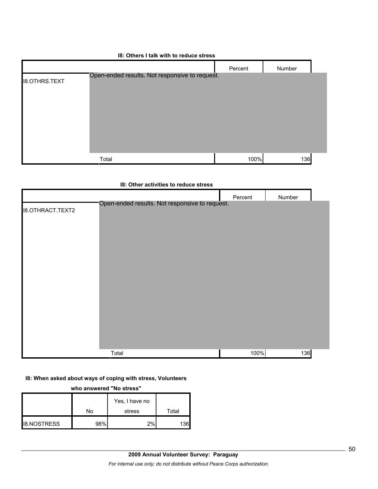|                      | 18: Others I talk with to reduce stress        |         |        |
|----------------------|------------------------------------------------|---------|--------|
|                      |                                                | Percent | Number |
| <b>18.OTHRS.TEXT</b> | Open-ended results. Not responsive to request. |         |        |
|                      | Total                                          | 100%    | 136    |

#### **I8: Other activities to reduce stress**

|                         |                                                | Percent | Number |  |
|-------------------------|------------------------------------------------|---------|--------|--|
| <b>I8.OTHRACT.TEXT2</b> | Open-ended results. Not responsive to request. |         |        |  |
|                         | Total                                          | 100%    | 136    |  |

### **I8: When asked about ways of coping with stress, Volunteers**

**who answered "No stress"** 

|                    | No  | Yes, I have no<br>stress | Total |
|--------------------|-----|--------------------------|-------|
| <b>I8.NOSTRESS</b> | 98% | 2%                       | 1361  |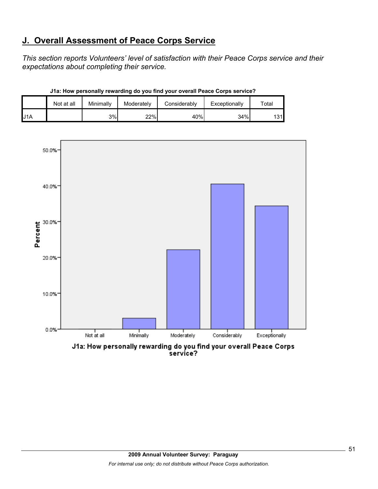# **J. Overall Assessment of Peace Corps Service**

*This section reports Volunteers' level of satisfaction with their Peace Corps service and their expectations about completing their service.* 

|                  | Not at all | Minimally | Moderately | Considerably | Exceptionally | $\tau$ otal |
|------------------|------------|-----------|------------|--------------|---------------|-------------|
| J <sub>1</sub> A |            | 3%        | 22%        | 40%          | 34%           | 131         |

**J1a: How personally rewarding do you find your overall Peace Corps service?**



J1a: How personally rewarding do you find your overall Peace Corps<br>service?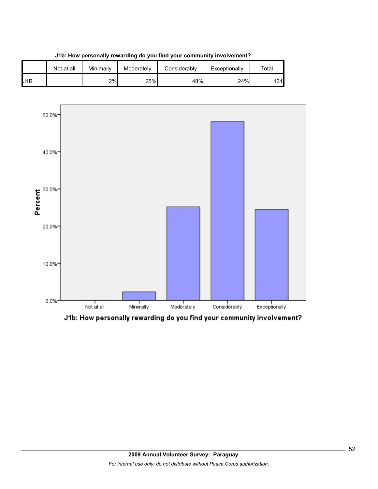

**J1b: How personally rewarding do you find your community involvement?**



J1b: How personally rewarding do you find your community involvement?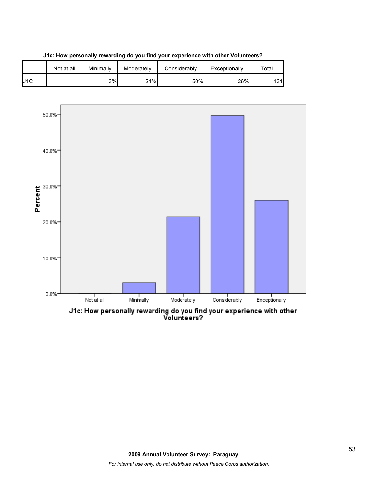





J1c: How personally rewarding do you find your experience with other<br>Volunteers?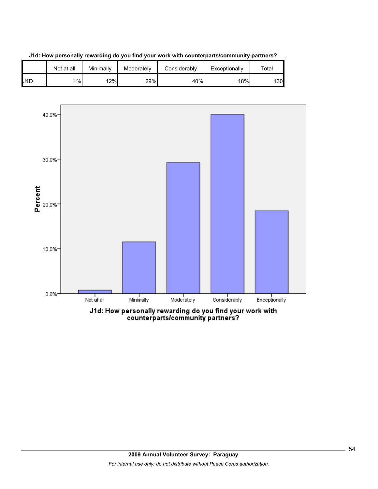





counterparts/community partners?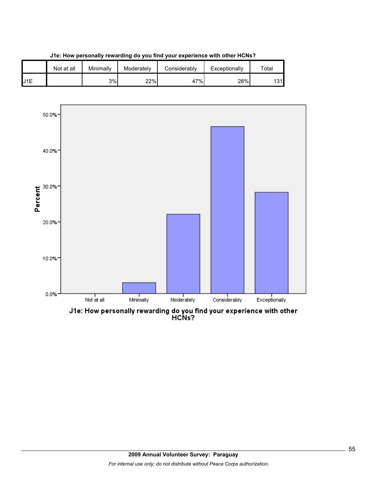

**J1e: How personally rewarding do you find your experience with other HCNs?**

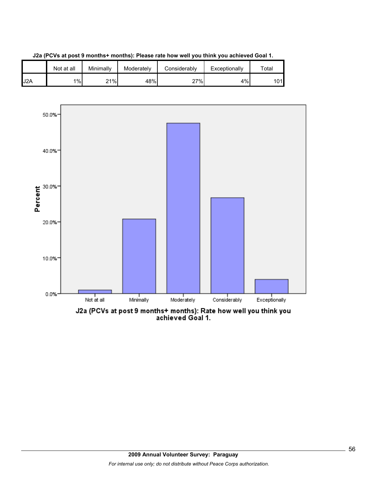





J2a (PCVs at post 9 months+ months): Rate how well you think you<br>achieved Goal 1.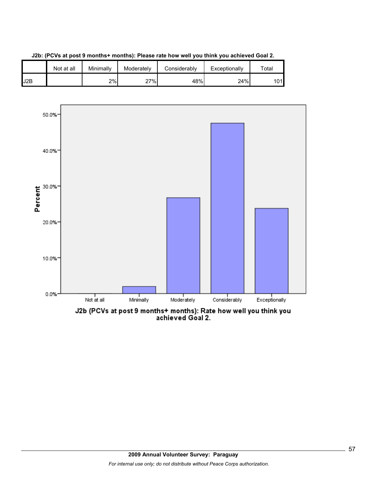





J2b (PCVs at post 9 months+ months): Rate how well you think you<br>achieved Goal 2.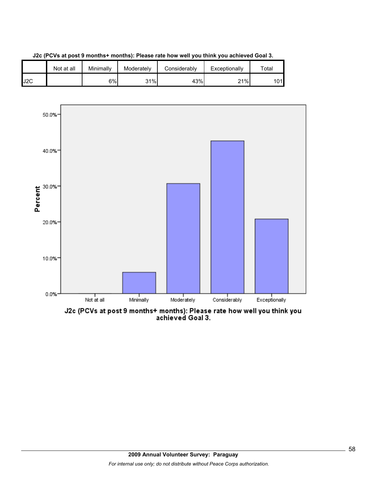





J2c (PCVs at post 9 months+ months): Please rate how well you think you<br>achieved Goal 3.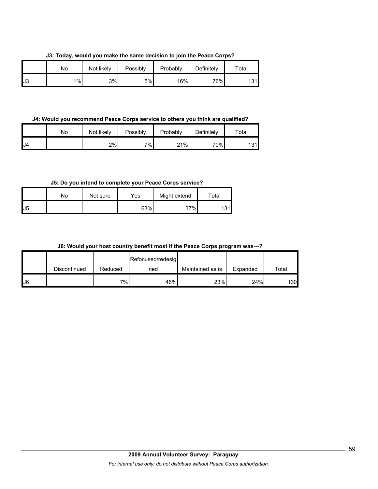**J3: Today, would you make the same decision to join the Peace Corps?**

|     | No    | Not likely | Possibly | Probably | Definitely | Total     |
|-----|-------|------------|----------|----------|------------|-----------|
| IJ3 | $1\%$ | 3%         | 5%       | 16%      | 76%        | 191<br>ںו |

**J4: Would you recommend Peace Corps service to others you think are qualified?**

|     | No | Not likely | Possibly | Probably | Definitely | $\tau$ otal |
|-----|----|------------|----------|----------|------------|-------------|
| IJ4 |    | 2%         | 7%       | 21%      | 70%        | 101<br>υı   |

**J5: Do you intend to complete your Peace Corps service?**

|                | No | Not sure | Yes | Might extend | Total    |
|----------------|----|----------|-----|--------------|----------|
| J <sub>5</sub> |    |          | 63% | 37%          | 31I<br>ັ |

|  | J6: Would your host country benefit most if the Peace Corps program was---? |  |  |  |  |  |  |
|--|-----------------------------------------------------------------------------|--|--|--|--|--|--|
|--|-----------------------------------------------------------------------------|--|--|--|--|--|--|

|    |              |         | Refocused/redesig |                  |          |       |
|----|--------------|---------|-------------------|------------------|----------|-------|
|    | Discontinued | Reduced | ned               | Maintained as is | Expanded | Total |
| J6 |              | 7%      | 46%               | 23%              | 24%      | 130   |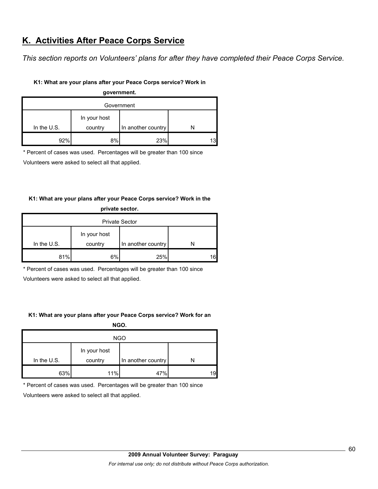# **K. Activities After Peace Corps Service**

*This section reports on Volunteers' plans for after they have completed their Peace Corps Service.* 

#### **K1: What are your plans after your Peace Corps service? Work in**

| government. |              |                    |  |  |  |  |  |
|-------------|--------------|--------------------|--|--|--|--|--|
| Government  |              |                    |  |  |  |  |  |
|             | In your host |                    |  |  |  |  |  |
| In the U.S. | country      | In another country |  |  |  |  |  |
| 92%         | 8%           | 23%                |  |  |  |  |  |

\* Percent of cases was used. Percentages will be greater than 100 since

Volunteers were asked to select all that applied.

### **K1: What are your plans after your Peace Corps service? Work in the**

| private sector.       |              |                    |    |  |  |
|-----------------------|--------------|--------------------|----|--|--|
| <b>Private Sector</b> |              |                    |    |  |  |
|                       | In your host |                    |    |  |  |
| In the $U.S.$         | country      | In another country |    |  |  |
| 81%                   | 6%           | 25%                | 16 |  |  |

\* Percent of cases was used. Percentages will be greater than 100 since

Volunteers were asked to select all that applied.

#### **K1: What are your plans after your Peace Corps service? Work for an**

**NGO.**

| <b>NGO</b>  |                         |                    |    |  |  |  |
|-------------|-------------------------|--------------------|----|--|--|--|
| In the U.S. | In your host<br>country | In another country |    |  |  |  |
|             |                         |                    |    |  |  |  |
| 63%         | 11%                     | 47%                | 19 |  |  |  |

\* Percent of cases was used. Percentages will be greater than 100 since

Volunteers were asked to select all that applied.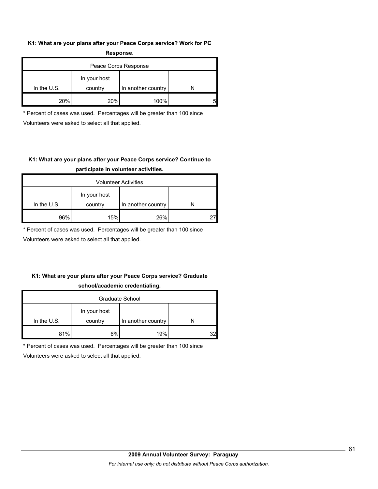#### **K1: What are your plans after your Peace Corps service? Work for PC Response.**

| .                    |                         |                    |  |  |  |  |  |
|----------------------|-------------------------|--------------------|--|--|--|--|--|
| Peace Corps Response |                         |                    |  |  |  |  |  |
| In the $U.S.$        | In your host<br>country | In another country |  |  |  |  |  |
| 20%                  | <b>20%</b>              | 100%               |  |  |  |  |  |
|                      |                         |                    |  |  |  |  |  |

\* Percent of cases was used. Percentages will be greater than 100 since Volunteers were asked to select all that applied.

# **K1: What are your plans after your Peace Corps service? Continue to participate in volunteer activities.**

| <b>Volunteer Activities</b> |                         |                    |  |  |  |  |
|-----------------------------|-------------------------|--------------------|--|--|--|--|
| In the $U.S.$               | In your host<br>country | In another country |  |  |  |  |
| 96%                         | 15%                     | 26%                |  |  |  |  |

\* Percent of cases was used. Percentages will be greater than 100 since

Volunteers were asked to select all that applied.

### **K1: What are your plans after your Peace Corps service? Graduate school/academic credentialing.**

| Graduate School |              |                    |    |  |  |  |
|-----------------|--------------|--------------------|----|--|--|--|
|                 | In your host |                    |    |  |  |  |
| In the $U.S.$   | country      | In another country |    |  |  |  |
| 81%             | 6%           | 19%                | າາ |  |  |  |

\* Percent of cases was used. Percentages will be greater than 100 since

Volunteers were asked to select all that applied.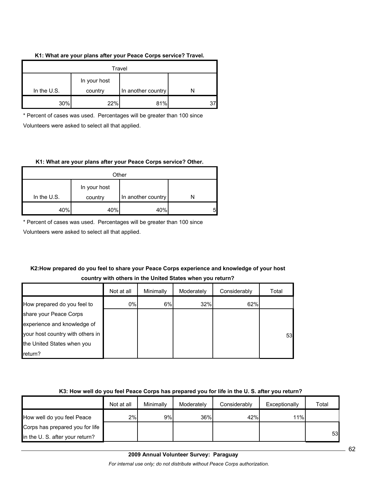#### **K1: What are your plans after your Peace Corps service? Travel.**

| Travel        |                         |                    |  |  |  |  |
|---------------|-------------------------|--------------------|--|--|--|--|
| In the $U.S.$ | In your host<br>country | In another country |  |  |  |  |
| 30%           | 22%                     | 81%                |  |  |  |  |

\* Percent of cases was used. Percentages will be greater than 100 since Volunteers were asked to select all that applied.

#### **K1: What are your plans after your Peace Corps service? Other.**

| Other         |              |                    |   |  |  |  |
|---------------|--------------|--------------------|---|--|--|--|
|               | In your host |                    |   |  |  |  |
| In the $U.S.$ | country      | In another country |   |  |  |  |
| 40%           | 40%          | 40%                | 5 |  |  |  |

\* Percent of cases was used. Percentages will be greater than 100 since

Volunteers were asked to select all that applied.

### **K2:How prepared do you feel to share your Peace Corps experience and knowledge of your host country with others in the United States when you return?**

|                                  | Not at all | Minimally | Moderately | Considerably | Total |
|----------------------------------|------------|-----------|------------|--------------|-------|
| How prepared do you feel to      | 0%         | 6%        | 32%        | 62%          |       |
| share your Peace Corps           |            |           |            |              |       |
| experience and knowledge of      |            |           |            |              |       |
| your host country with others in |            |           |            |              | 53    |
| the United States when you       |            |           |            |              |       |
| return?                          |            |           |            |              |       |

#### **K3: How well do you feel Peace Corps has prepared you for life in the U. S. after you return?**

|                                 | Not at all | Minimally | Moderately | Considerably | Exceptionally | Total |
|---------------------------------|------------|-----------|------------|--------------|---------------|-------|
| How well do you feel Peace      | 2%         | 9%        | 36%        | 42%          | 11%           |       |
| Corps has prepared you for life |            |           |            |              |               |       |
| in the U. S. after your return? |            |           |            |              |               | 53    |

**2009 Annual Volunteer Survey: Paraguay** 

*For internal use only; do not distribute without Peace Corps authorization.*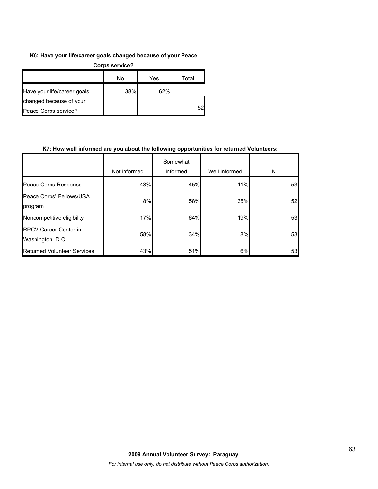#### **K6: Have your life/career goals changed because of your Peace**

| Corps service?              |     |     |       |
|-----------------------------|-----|-----|-------|
|                             | No  | Yes | Total |
| Have your life/career goals | 38% | 62% |       |
| changed because of your     |     |     |       |
| Peace Corps service?        |     |     | 52    |

#### **K7: How well informed are you about the following opportunities for returned Volunteers:**

|                                                  | Not informed | Somewhat<br>informed | Well informed | N  |
|--------------------------------------------------|--------------|----------------------|---------------|----|
| Peace Corps Response                             | 43%          | 45%                  | 11%           | 53 |
| Peace Corps' Fellows/USA<br>program              | 8%           | 58%                  | 35%           | 52 |
| Noncompetitive eligibility                       | 17%          | 64%                  | 19%           | 53 |
| <b>RPCV Career Center in</b><br>Washington, D.C. | 58%          | 34%                  | 8%            | 53 |
| <b>Returned Volunteer Services</b>               | 43%          | 51%                  | 6%            | 53 |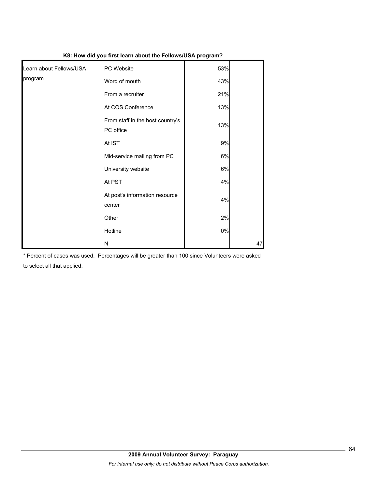| K8: How did you first learn about the Fellows/USA program? |                                               |       |    |
|------------------------------------------------------------|-----------------------------------------------|-------|----|
| Learn about Fellows/USA                                    | PC Website                                    | 53%   |    |
| program                                                    | Word of mouth                                 | 43%   |    |
|                                                            | From a recruiter                              | 21%   |    |
|                                                            | At COS Conference                             | 13%   |    |
|                                                            | From staff in the host country's<br>PC office | 13%   |    |
|                                                            | At IST                                        | 9%    |    |
|                                                            | Mid-service mailing from PC                   | 6%    |    |
|                                                            | University website                            | 6%    |    |
|                                                            | At PST                                        | 4%    |    |
|                                                            | At post's information resource<br>center      | 4%    |    |
|                                                            | Other                                         | 2%    |    |
|                                                            | Hotline                                       | $0\%$ |    |
|                                                            | N                                             |       | 47 |

\* Percent of cases was used. Percentages will be greater than 100 since Volunteers were asked to select all that applied.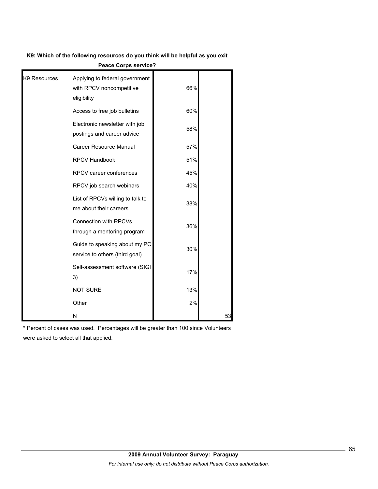**K9: Which of the following resources do you think will be helpful as you exit** 

| K9 Resources | Applying to federal government<br>with RPCV noncompetitive<br>eligibility | 66% |    |
|--------------|---------------------------------------------------------------------------|-----|----|
|              | Access to free job bulletins                                              | 60% |    |
|              | Electronic newsletter with job<br>postings and career advice              | 58% |    |
|              | Career Resource Manual                                                    | 57% |    |
|              | <b>RPCV Handbook</b>                                                      | 51% |    |
|              | RPCV career conferences                                                   | 45% |    |
|              | RPCV job search webinars                                                  | 40% |    |
|              | List of RPCVs willing to talk to<br>me about their careers                | 38% |    |
|              | <b>Connection with RPCVs</b><br>through a mentoring program               | 36% |    |
|              | Guide to speaking about my PC<br>service to others (third goal)           | 30% |    |
|              | Self-assessment software (SIGI<br>3)                                      | 17% |    |
|              | <b>NOT SURE</b>                                                           | 13% |    |
|              | Other                                                                     | 2%  |    |
|              | N                                                                         |     | 53 |

**Peace Corps service?**

\* Percent of cases was used. Percentages will be greater than 100 since Volunteers were asked to select all that applied.